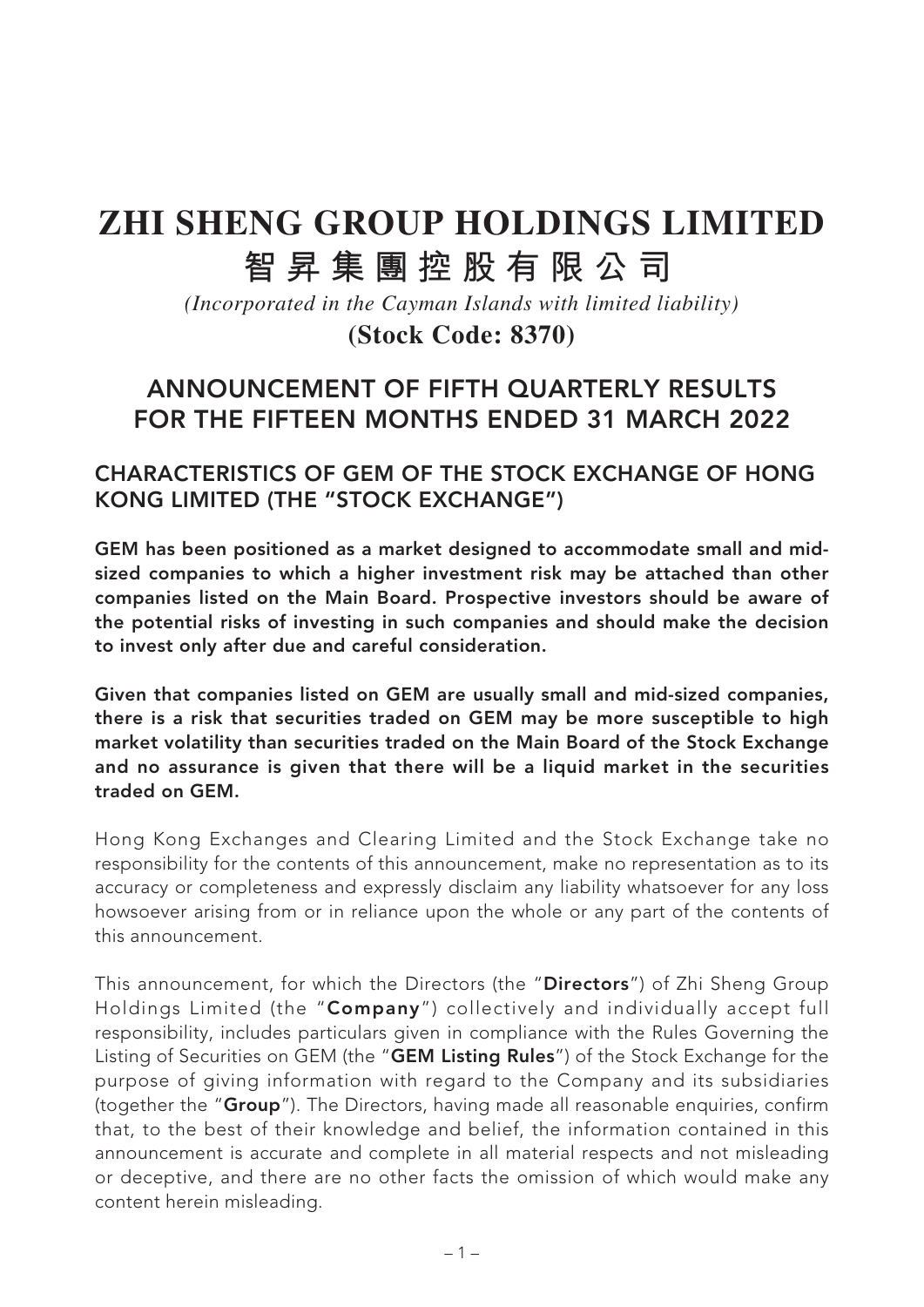# **ZHI SHENG GROUP HOLDINGS LIMITED 智昇集團控股有限公司**

*(Incorporated in the Cayman Islands with limited liability)* **(Stock Code: 8370)**

### **ANNOUNCEMENT OF FIFTH QUARTERLY RESULTS FOR THE FIFTEEN MONTHS ENDED 31 MARCH 2022**

### **CHARACTERISTICS OF GEM OF THE STOCK EXCHANGE OF HONG KONG LIMITED (THE "STOCK EXCHANGE")**

**GEM has been positioned as a market designed to accommodate small and midsized companies to which a higher investment risk may be attached than other companies listed on the Main Board. Prospective investors should be aware of the potential risks of investing in such companies and should make the decision to invest only after due and careful consideration.**

**Given that companies listed on GEM are usually small and mid-sized companies, there is a risk that securities traded on GEM may be more susceptible to high market volatility than securities traded on the Main Board of the Stock Exchange and no assurance is given that there will be a liquid market in the securities traded on GEM.**

Hong Kong Exchanges and Clearing Limited and the Stock Exchange take no responsibility for the contents of this announcement, make no representation as to its accuracy or completeness and expressly disclaim any liability whatsoever for any loss howsoever arising from or in reliance upon the whole or any part of the contents of this announcement.

This announcement, for which the Directors (the "**Directors**") of Zhi Sheng Group Holdings Limited (the "**Company**") collectively and individually accept full responsibility, includes particulars given in compliance with the Rules Governing the Listing of Securities on GEM (the "**GEM Listing Rules**") of the Stock Exchange for the purpose of giving information with regard to the Company and its subsidiaries (together the "**Group**"). The Directors, having made all reasonable enquiries, confirm that, to the best of their knowledge and belief, the information contained in this announcement is accurate and complete in all material respects and not misleading or deceptive, and there are no other facts the omission of which would make any content herein misleading.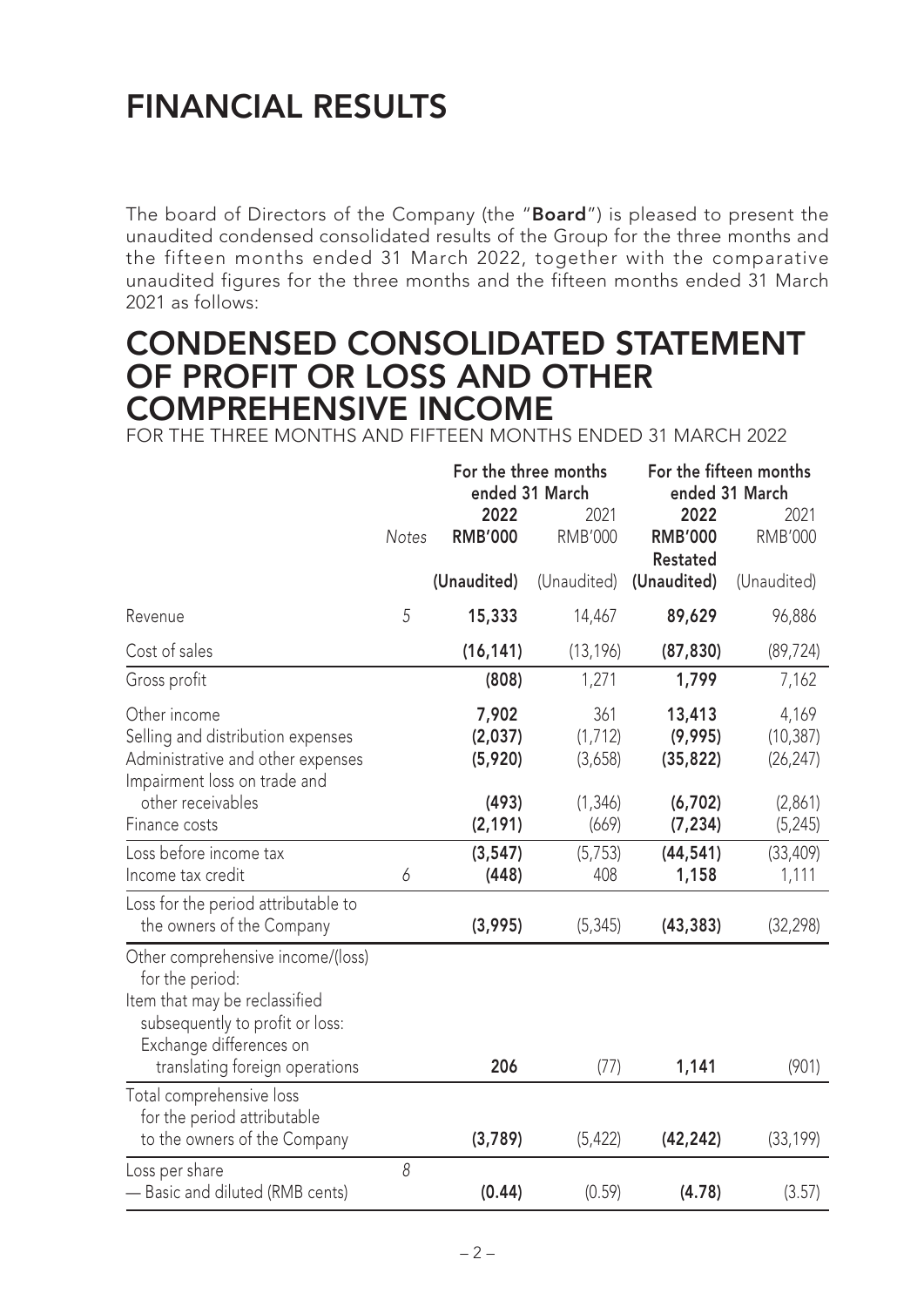# **FINANCIAL RESULTS**

The board of Directors of the Company (the "**Board**") is pleased to present the unaudited condensed consolidated results of the Group for the three months and the fifteen months ended 31 March 2022, together with the comparative unaudited figures for the three months and the fifteen months ended 31 March 2021 as follows:

### **CONDENSED CONSOLIDATED STATEMENT OF PROFIT OR LOSS AND OTHER COMPREHENSIVE INCOME**

FOR THE THREE MONTHS AND FIFTEEN MONTHS ENDED 31 MARCH 2022

|                                     |              |                | For the three months | For the fifteen months |                |  |
|-------------------------------------|--------------|----------------|----------------------|------------------------|----------------|--|
|                                     |              |                | ended 31 March       |                        | ended 31 March |  |
|                                     |              | 2022           | 2021                 | 2022                   | 2021           |  |
|                                     | <b>Notes</b> | <b>RMB'000</b> | <b>RMB'000</b>       | <b>RMB'000</b>         | <b>RMB'000</b> |  |
|                                     |              |                |                      | <b>Restated</b>        |                |  |
|                                     |              | (Unaudited)    | (Unaudited)          | (Unaudited)            | (Unaudited)    |  |
| Revenue                             | 5            | 15,333         | 14,467               | 89,629                 | 96,886         |  |
| Cost of sales                       |              | (16, 141)      | (13, 196)            | (87, 830)              | (89, 724)      |  |
| Gross profit                        |              | (808)          | 1,271                | 1,799                  | 7,162          |  |
| Other income                        |              | 7,902          | 361                  | 13,413                 | 4,169          |  |
| Selling and distribution expenses   |              | (2,037)        | (1, 712)             | (9,995)                | (10, 387)      |  |
| Administrative and other expenses   |              | (5,920)        | (3,658)              | (35, 822)              | (26, 247)      |  |
| Impairment loss on trade and        |              |                |                      |                        |                |  |
| other receivables                   |              | (493)          | (1, 346)             | (6, 702)               | (2,861)        |  |
| Finance costs                       |              | (2, 191)       | (669)                | (7, 234)               | (5, 245)       |  |
| Loss before income tax              |              | (3, 547)       | (5, 753)             | (44, 541)              | (33, 409)      |  |
| Income tax credit                   | 6            | (448)          | 408                  | 1,158                  | 1,111          |  |
| Loss for the period attributable to |              |                |                      |                        |                |  |
| the owners of the Company           |              | (3,995)        | (5, 345)             | (43, 383)              | (32, 298)      |  |
| Other comprehensive income/(loss)   |              |                |                      |                        |                |  |
| for the period:                     |              |                |                      |                        |                |  |
| Item that may be reclassified       |              |                |                      |                        |                |  |
| subsequently to profit or loss:     |              |                |                      |                        |                |  |
| Exchange differences on             |              |                |                      |                        |                |  |
| translating foreign operations      |              | 206            | (77)                 | 1,141                  | (901)          |  |
| Total comprehensive loss            |              |                |                      |                        |                |  |
| for the period attributable         |              |                |                      |                        |                |  |
| to the owners of the Company        |              | (3,789)        | (5, 422)             | (42, 242)              | (33, 199)      |  |
| Loss per share                      | 8            |                |                      |                        |                |  |
| - Basic and diluted (RMB cents)     |              | (0.44)         | (0.59)               | (4.78)                 | (3.57)         |  |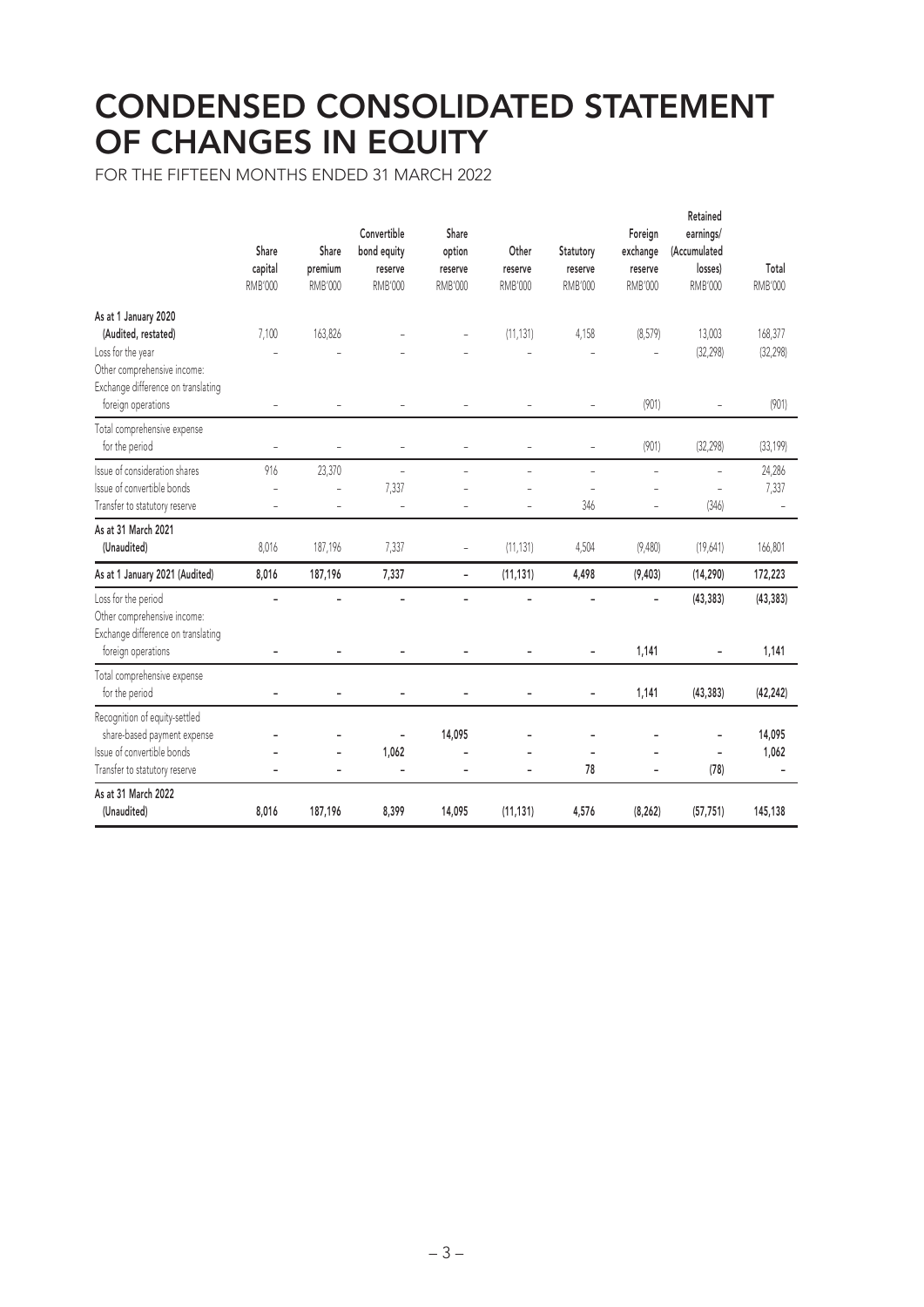### **CONDENSED CONSOLIDATED STATEMENT OF CHANGES IN EQUITY**

FOR THE FIFTEEN MONTHS ENDED 31 MARCH 2022

|                                                                                                                                       | Share<br>capital<br>RMB'000          | Share<br>premium<br>RMB'000                                    | Convertible<br>bond equity<br>reserve<br><b>RMB'000</b> | Share<br>option<br>reserve<br><b>RMB'000</b> | Other<br>reserve<br><b>RMB'000</b>               | Statutory<br>reserve<br><b>RMB'000</b> | Foreign<br>exchange<br>reserve<br>RMB'000 | Retained<br>earnings/<br>(Accumulated<br>losses)<br><b>RMB'000</b> | Total<br>RMB'000     |
|---------------------------------------------------------------------------------------------------------------------------------------|--------------------------------------|----------------------------------------------------------------|---------------------------------------------------------|----------------------------------------------|--------------------------------------------------|----------------------------------------|-------------------------------------------|--------------------------------------------------------------------|----------------------|
| As at 1 January 2020<br>(Audited, restated)<br>Loss for the year<br>Other comprehensive income:<br>Exchange difference on translating | 7,100                                | 163,826                                                        |                                                         |                                              | (11, 131)                                        | 4,158                                  | (8,579)                                   | 13,003<br>(32, 298)                                                | 168,377<br>(32, 298) |
| foreign operations<br>Total comprehensive expense<br>for the period                                                                   | $\overline{\phantom{a}}$<br>$\equiv$ | $\overline{\phantom{a}}$<br>$\equiv$                           | $\overline{\phantom{a}}$<br>$\bar{a}$                   | $\overline{\phantom{0}}$<br>L,               | $\overline{a}$                                   | $\equiv$<br>$\equiv$                   | (901)<br>(901)                            | (32, 298)                                                          | (901)<br>(33, 199)   |
| Issue of consideration shares<br>Issue of convertible bonds<br>Transfer to statutory reserve                                          | 916<br>L,<br>L,                      | 23,370<br>$\overline{\phantom{a}}$<br>$\overline{\phantom{a}}$ | $\bar{a}$<br>7,337<br>$\bar{a}$                         | L,<br>L,                                     | $\overline{\phantom{0}}$<br>L,<br>$\overline{a}$ | $\bar{\phantom{a}}$<br>L.<br>346       | $\equiv$<br>$\overline{\phantom{0}}$      | ÷,<br>L,<br>(346)                                                  | 24,286<br>7,337      |
| As at 31 March 2021<br>(Unaudited)                                                                                                    | 8,016                                | 187,196                                                        | 7,337                                                   | $\overline{\phantom{0}}$                     | (11, 131)                                        | 4,504                                  | (9,480)                                   | (19,641)                                                           | 166,801              |
| As at 1 January 2021 (Audited)                                                                                                        | 8,016                                | 187,196                                                        | 7,337                                                   | $\overline{\phantom{a}}$                     | (11, 131)                                        | 4,498                                  | (9, 403)                                  | (14, 290)                                                          | 172,223              |
| Loss for the period<br>Other comprehensive income:<br>Exchange difference on translating<br>foreign operations                        | L.                                   |                                                                | $\blacksquare$                                          |                                              |                                                  |                                        | ÷,<br>1,141                               | (43, 383)                                                          | (43, 383)<br>1,141   |
| Total comprehensive expense<br>for the period                                                                                         | ۳                                    |                                                                |                                                         |                                              |                                                  |                                        | 1,141                                     | (43, 383)                                                          | (42, 242)            |
| Recognition of equity-settled<br>share-based payment expense<br>Issue of convertible bonds<br>Transfer to statutory reserve           |                                      |                                                                | 1,062<br>٠                                              | 14,095<br>$\overline{a}$                     | -                                                | 78                                     | L,                                        | (78)                                                               | 14,095<br>1,062      |
| As at 31 March 2022<br>(Unaudited)                                                                                                    | 8,016                                | 187,196                                                        | 8,399                                                   | 14,095                                       | (11, 131)                                        | 4,576                                  | (8, 262)                                  | (57, 751)                                                          | 145,138              |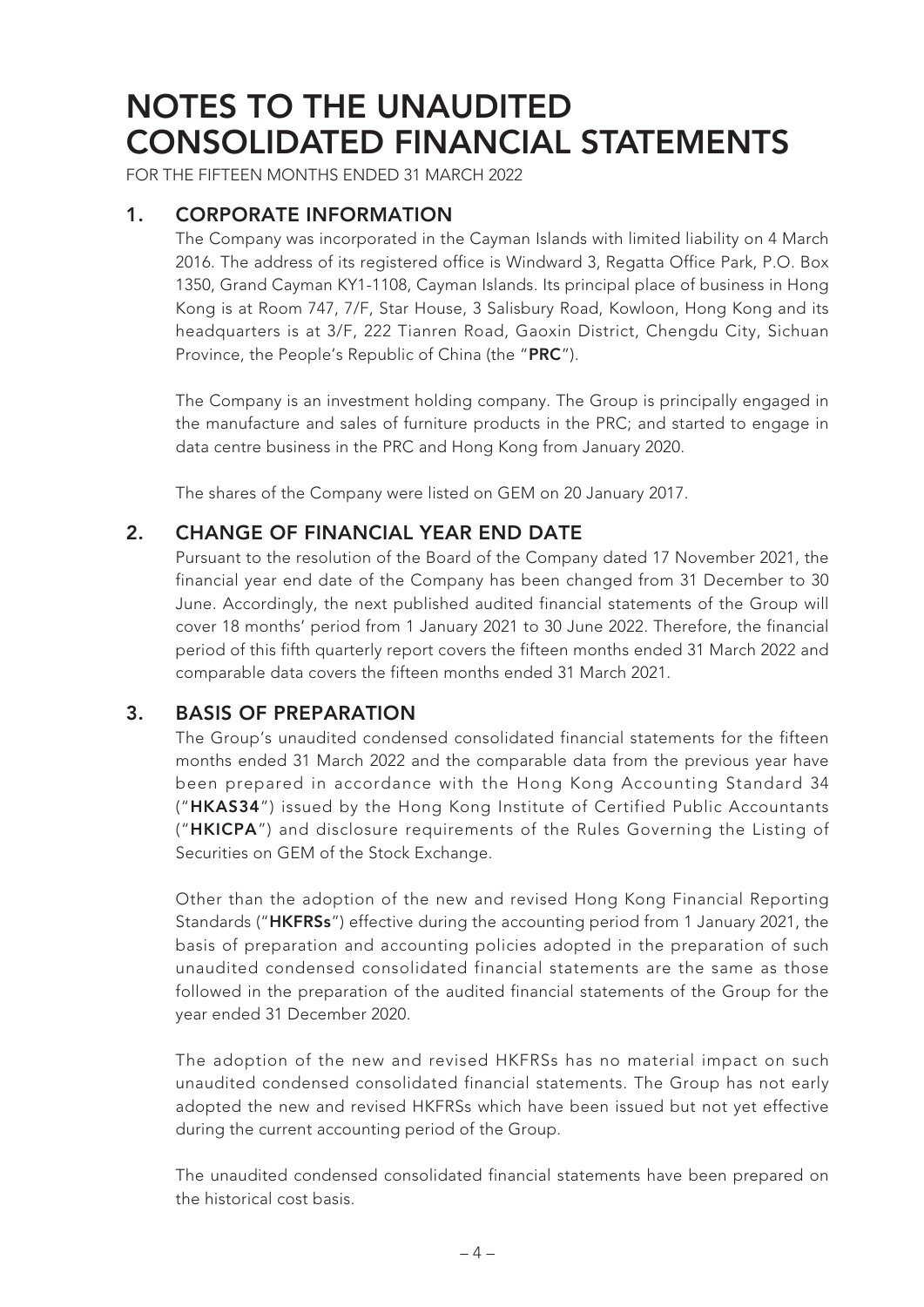FOR THE FIFTEEN MONTHS ENDED 31 MARCH 2022

#### **1. CORPORATE INFORMATION**

The Company was incorporated in the Cayman Islands with limited liability on 4 March 2016. The address of its registered office is Windward 3, Regatta Office Park, P.O. Box 1350, Grand Cayman KY1-1108, Cayman Islands. Its principal place of business in Hong Kong is at Room 747, 7/F, Star House, 3 Salisbury Road, Kowloon, Hong Kong and its headquarters is at 3/F, 222 Tianren Road, Gaoxin District, Chengdu City, Sichuan Province, the People's Republic of China (the "**PRC**").

The Company is an investment holding company. The Group is principally engaged in the manufacture and sales of furniture products in the PRC; and started to engage in data centre business in the PRC and Hong Kong from January 2020.

The shares of the Company were listed on GEM on 20 January 2017.

#### **2. CHANGE OF FINANCIAL YEAR END DATE**

Pursuant to the resolution of the Board of the Company dated 17 November 2021, the financial year end date of the Company has been changed from 31 December to 30 June. Accordingly, the next published audited financial statements of the Group will cover 18 months' period from 1 January 2021 to 30 June 2022. Therefore, the financial period of this fifth quarterly report covers the fifteen months ended 31 March 2022 and comparable data covers the fifteen months ended 31 March 2021.

#### **3. BASIS OF PREPARATION**

The Group's unaudited condensed consolidated financial statements for the fifteen months ended 31 March 2022 and the comparable data from the previous year have been prepared in accordance with the Hong Kong Accounting Standard 34 ("**HKAS34**") issued by the Hong Kong Institute of Certified Public Accountants ("**HKICPA**") and disclosure requirements of the Rules Governing the Listing of Securities on GEM of the Stock Exchange.

Other than the adoption of the new and revised Hong Kong Financial Reporting Standards ("**HKFRSs**") effective during the accounting period from 1 January 2021, the basis of preparation and accounting policies adopted in the preparation of such unaudited condensed consolidated financial statements are the same as those followed in the preparation of the audited financial statements of the Group for the year ended 31 December 2020.

The adoption of the new and revised HKFRSs has no material impact on such unaudited condensed consolidated financial statements. The Group has not early adopted the new and revised HKFRSs which have been issued but not yet effective during the current accounting period of the Group.

The unaudited condensed consolidated financial statements have been prepared on the historical cost basis.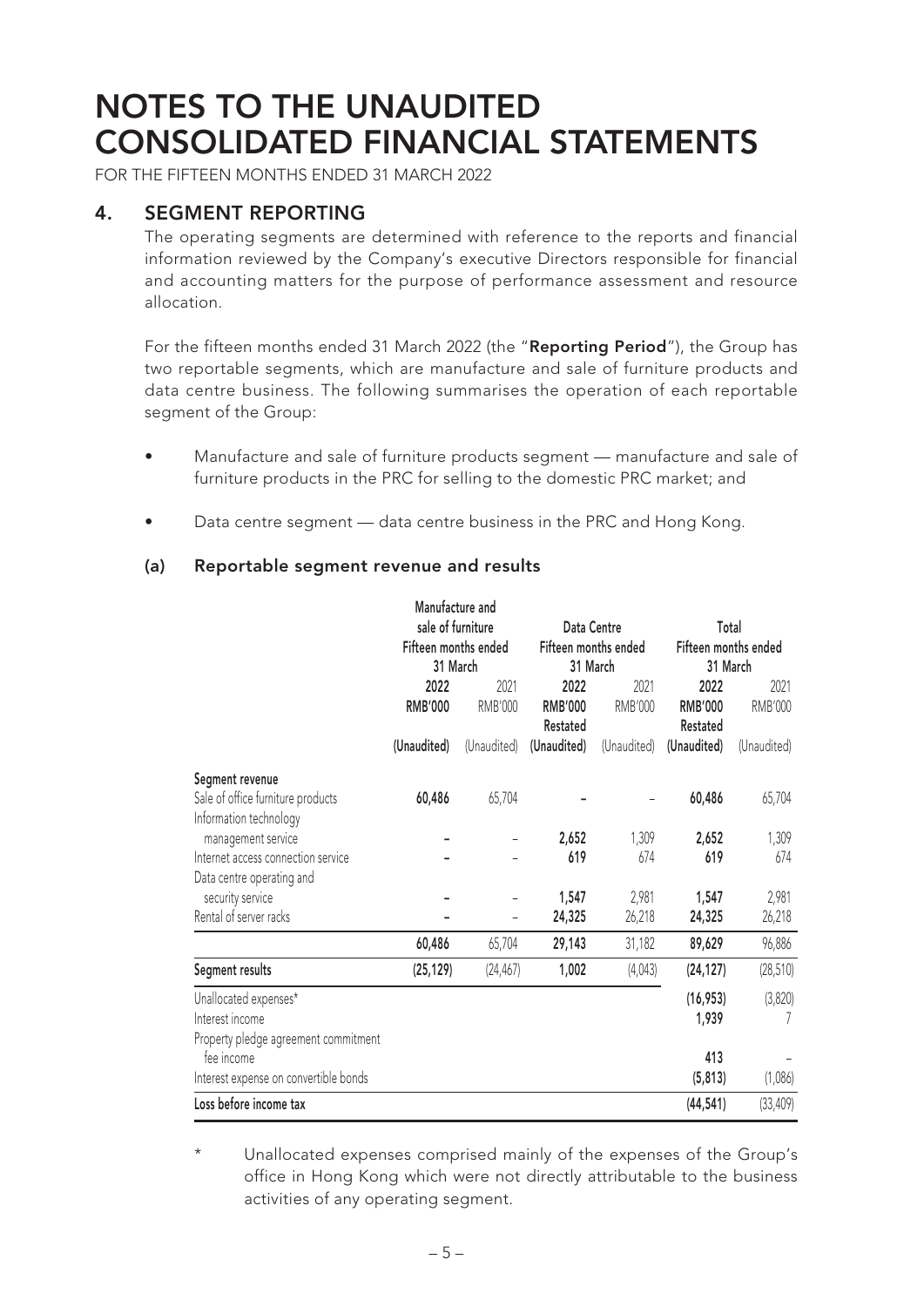FOR THE FIFTEEN MONTHS ENDED 31 MARCH 2022

#### **4. SEGMENT REPORTING**

The operating segments are determined with reference to the reports and financial information reviewed by the Company's executive Directors responsible for financial and accounting matters for the purpose of performance assessment and resource allocation.

For the fifteen months ended 31 March 2022 (the "**Reporting Period**"), the Group has two reportable segments, which are manufacture and sale of furniture products and data centre business. The following summarises the operation of each reportable segment of the Group:

- Manufacture and sale of furniture products segment manufacture and sale of furniture products in the PRC for selling to the domestic PRC market; and
- Data centre segment data centre business in the PRC and Hong Kong.

#### **(a) Reportable segment revenue and results**

|                                       | Manufacture and      |                |                      |                |                                           |             |
|---------------------------------------|----------------------|----------------|----------------------|----------------|-------------------------------------------|-------------|
|                                       | sale of furniture    |                | Data Centre          |                | Total<br>Fifteen months ended<br>31 March |             |
|                                       | Fifteen months ended |                | Fifteen months ended |                |                                           |             |
|                                       | 31 March             |                | 31 March             |                |                                           |             |
|                                       | 2022                 | 2021           | 2022                 | 2021           | 2022                                      | 2021        |
|                                       | <b>RMB'000</b>       | <b>RMB'000</b> | <b>RMB'000</b>       | <b>RMB'000</b> | <b>RMB'000</b>                            | RMB'000     |
|                                       |                      |                | Restated             |                | Restated                                  |             |
|                                       | (Unaudited)          | (Unaudited)    | (Unaudited)          | (Unaudited)    | (Unaudited)                               | (Unaudited) |
| Segment revenue                       |                      |                |                      |                |                                           |             |
| Sale of office furniture products     | 60,486               | 65,704         |                      |                | 60,486                                    | 65,704      |
| Information technology                |                      |                |                      |                |                                           |             |
| management service                    |                      |                | 2,652                | 1,309          | 2,652                                     | 1,309       |
| Internet access connection service    |                      |                | 619                  | 674            | 619                                       | 674         |
| Data centre operating and             |                      |                |                      |                |                                           |             |
| security service                      |                      |                | 1,547                | 2,981          | 1,547                                     | 2,981       |
| Rental of server racks                |                      |                | 24,325               | 26,218         | 24,325                                    | 26,218      |
|                                       | 60,486               | 65,704         | 29,143               | 31,182         | 89,629                                    | 96,886      |
| Segment results                       | (25, 129)            | (24, 467)      | 1,002                | (4,043)        | (24, 127)                                 | (28, 510)   |
| Unallocated expenses*                 |                      |                |                      |                | (16, 953)                                 | (3,820)     |
| Interest income                       |                      |                |                      |                | 1,939                                     |             |
| Property pledge agreement commitment  |                      |                |                      |                |                                           |             |
| fee income                            |                      |                |                      |                | 413                                       |             |
| Interest expense on convertible bonds |                      |                |                      |                | (5, 813)                                  | (1,086)     |
| Loss before income tax                |                      |                |                      |                | (44, 541)                                 | (33, 409)   |

Unallocated expenses comprised mainly of the expenses of the Group's office in Hong Kong which were not directly attributable to the business activities of any operating segment.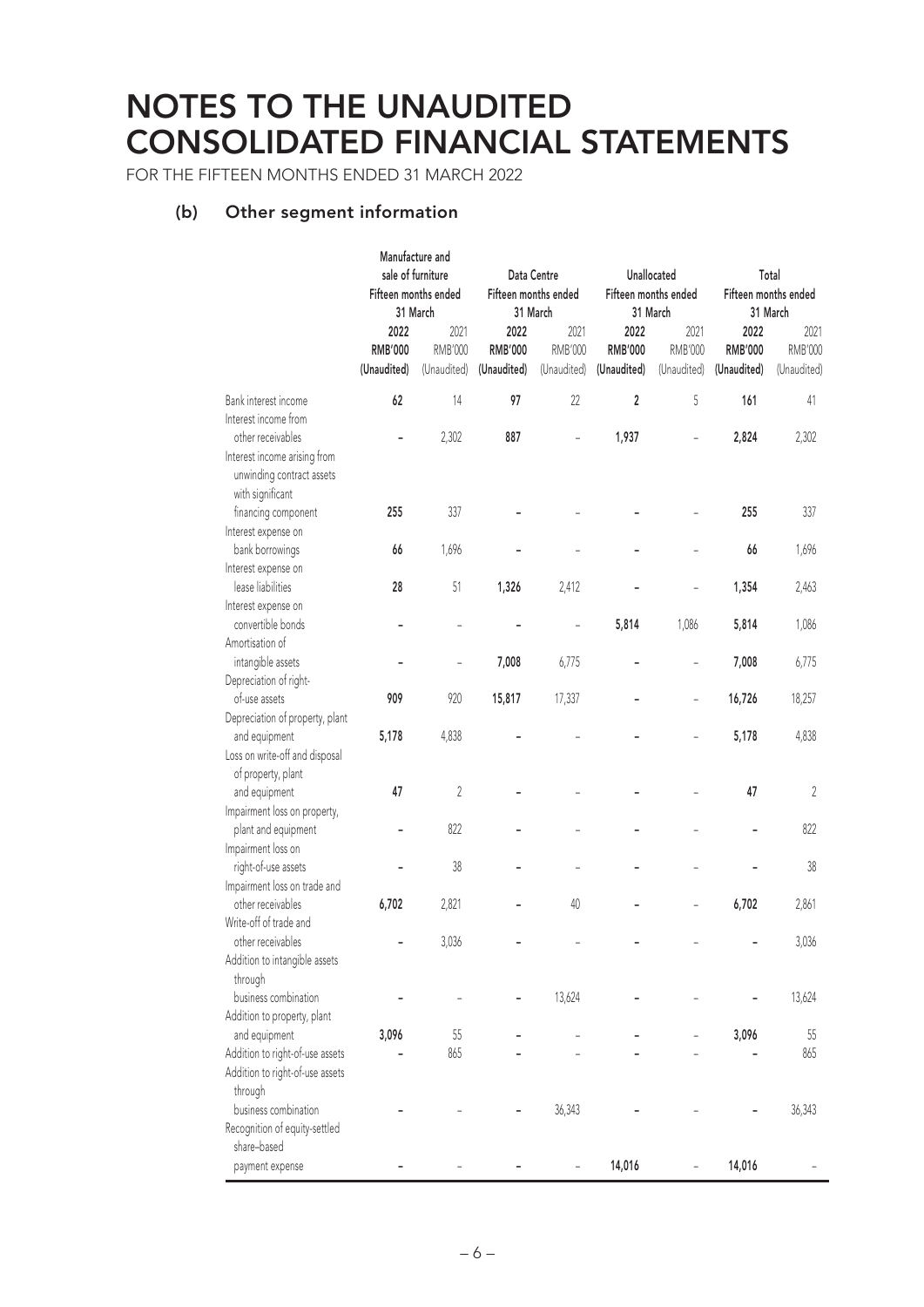FOR THE FIFTEEN MONTHS ENDED 31 MARCH 2022

#### **(b) Other segment information**

|                                                                                                    | <b>Manufacture and</b><br>sale of furniture<br>Fifteen months ended<br>31 March |                                       | Data Centre<br>Fifteen months ended<br>31 March |                                       | Unallocated<br>Fifteen months ended<br>31 March |                                       | Total<br>Fifteen months ended<br>31 March |                                       |
|----------------------------------------------------------------------------------------------------|---------------------------------------------------------------------------------|---------------------------------------|-------------------------------------------------|---------------------------------------|-------------------------------------------------|---------------------------------------|-------------------------------------------|---------------------------------------|
|                                                                                                    | 2022<br><b>RMB'000</b><br>(Unaudited)                                           | 2021<br><b>RMB'000</b><br>(Unaudited) | 2022<br><b>RMB'000</b><br>(Unaudited)           | 2021<br><b>RMB'000</b><br>(Unaudited) | 2022<br><b>RMB'000</b><br>(Unaudited)           | 2021<br><b>RMB'000</b><br>(Unaudited) | 2022<br><b>RMB'000</b><br>(Unaudited)     | 2021<br><b>RMB'000</b><br>(Unaudited) |
| Bank interest income                                                                               | 62                                                                              | 14                                    | 97                                              | 22                                    | 2                                               | 5                                     | 161                                       | 41                                    |
| Interest income from                                                                               |                                                                                 |                                       |                                                 |                                       |                                                 |                                       |                                           |                                       |
| other receivables<br>Interest income arising from<br>unwinding contract assets<br>with significant |                                                                                 | 2,302                                 | 887                                             |                                       | 1,937                                           |                                       | 2,824                                     | 2,302                                 |
| financing component                                                                                | 255                                                                             | 337                                   |                                                 |                                       |                                                 |                                       | 255                                       | 337                                   |
| Interest expense on                                                                                |                                                                                 |                                       |                                                 |                                       |                                                 |                                       |                                           |                                       |
| bank borrowings                                                                                    | 66                                                                              | 1,696                                 |                                                 |                                       |                                                 |                                       | 66                                        | 1,696                                 |
| Interest expense on                                                                                |                                                                                 |                                       |                                                 |                                       |                                                 |                                       |                                           |                                       |
| lease liabilities                                                                                  | 28                                                                              | 51                                    | 1,326                                           | 2,412                                 |                                                 |                                       | 1,354                                     | 2,463                                 |
| Interest expense on                                                                                |                                                                                 |                                       |                                                 |                                       |                                                 |                                       |                                           |                                       |
| convertible bonds                                                                                  |                                                                                 |                                       |                                                 |                                       | 5,814                                           | 1,086                                 | 5,814                                     | 1,086                                 |
| Amortisation of                                                                                    |                                                                                 |                                       |                                                 |                                       |                                                 |                                       |                                           |                                       |
| intangible assets                                                                                  |                                                                                 | $\overline{a}$                        | 7,008                                           | 6,775                                 |                                                 |                                       | 7,008                                     | 6,775                                 |
| Depreciation of right-                                                                             |                                                                                 |                                       |                                                 |                                       |                                                 |                                       |                                           |                                       |
| of-use assets                                                                                      | 909                                                                             | 920                                   | 15,817                                          | 17,337                                |                                                 |                                       | 16,726                                    | 18,257                                |
| Depreciation of property, plant                                                                    |                                                                                 |                                       |                                                 |                                       |                                                 |                                       |                                           |                                       |
| and equipment                                                                                      | 5,178                                                                           | 4,838                                 |                                                 |                                       |                                                 |                                       | 5,178                                     | 4,838                                 |
| Loss on write-off and disposal                                                                     |                                                                                 |                                       |                                                 |                                       |                                                 |                                       |                                           |                                       |
| of property, plant                                                                                 |                                                                                 |                                       |                                                 |                                       |                                                 |                                       |                                           |                                       |
| and equipment                                                                                      | 47                                                                              | $\overline{2}$                        |                                                 |                                       |                                                 |                                       | 47                                        | $\sqrt{2}$                            |
| Impairment loss on property,                                                                       |                                                                                 |                                       |                                                 |                                       |                                                 |                                       |                                           |                                       |
| plant and equipment                                                                                |                                                                                 | 822                                   |                                                 |                                       |                                                 |                                       |                                           | 822                                   |
| Impairment loss on                                                                                 |                                                                                 |                                       |                                                 |                                       |                                                 |                                       |                                           |                                       |
| right-of-use assets                                                                                |                                                                                 | 38                                    |                                                 |                                       |                                                 |                                       |                                           | 38                                    |
| Impairment loss on trade and                                                                       |                                                                                 |                                       |                                                 |                                       |                                                 |                                       |                                           |                                       |
| other receivables                                                                                  | 6,702                                                                           | 2,821                                 |                                                 | 40                                    |                                                 |                                       | 6,702                                     | 2,861                                 |
| Write-off of trade and                                                                             |                                                                                 |                                       |                                                 |                                       |                                                 |                                       |                                           |                                       |
| other receivables                                                                                  |                                                                                 | 3,036                                 |                                                 |                                       |                                                 |                                       |                                           | 3,036                                 |
| Addition to intangible assets                                                                      |                                                                                 |                                       |                                                 |                                       |                                                 |                                       |                                           |                                       |
| through                                                                                            |                                                                                 |                                       |                                                 |                                       |                                                 |                                       |                                           |                                       |
| business combination                                                                               |                                                                                 |                                       |                                                 | 13,624                                |                                                 |                                       |                                           | 13,624                                |
| Addition to property, plant                                                                        |                                                                                 |                                       |                                                 |                                       |                                                 |                                       |                                           |                                       |
| and equipment                                                                                      | 3,096                                                                           | 55                                    |                                                 |                                       |                                                 |                                       | 3,096                                     | 55                                    |
| Addition to right-of-use assets                                                                    |                                                                                 | 865                                   |                                                 |                                       |                                                 |                                       |                                           | 865                                   |
| Addition to right-of-use assets                                                                    |                                                                                 |                                       |                                                 |                                       |                                                 |                                       |                                           |                                       |
| through                                                                                            |                                                                                 |                                       |                                                 |                                       |                                                 |                                       |                                           |                                       |
| business combination                                                                               |                                                                                 |                                       |                                                 | 36,343                                |                                                 |                                       |                                           | 36,343                                |
| Recognition of equity-settled                                                                      |                                                                                 |                                       |                                                 |                                       |                                                 |                                       |                                           |                                       |
| share-based                                                                                        |                                                                                 |                                       |                                                 |                                       |                                                 |                                       |                                           |                                       |
| payment expense                                                                                    |                                                                                 |                                       |                                                 |                                       | 14,016                                          |                                       | 14,016                                    |                                       |
|                                                                                                    |                                                                                 |                                       |                                                 |                                       |                                                 |                                       |                                           |                                       |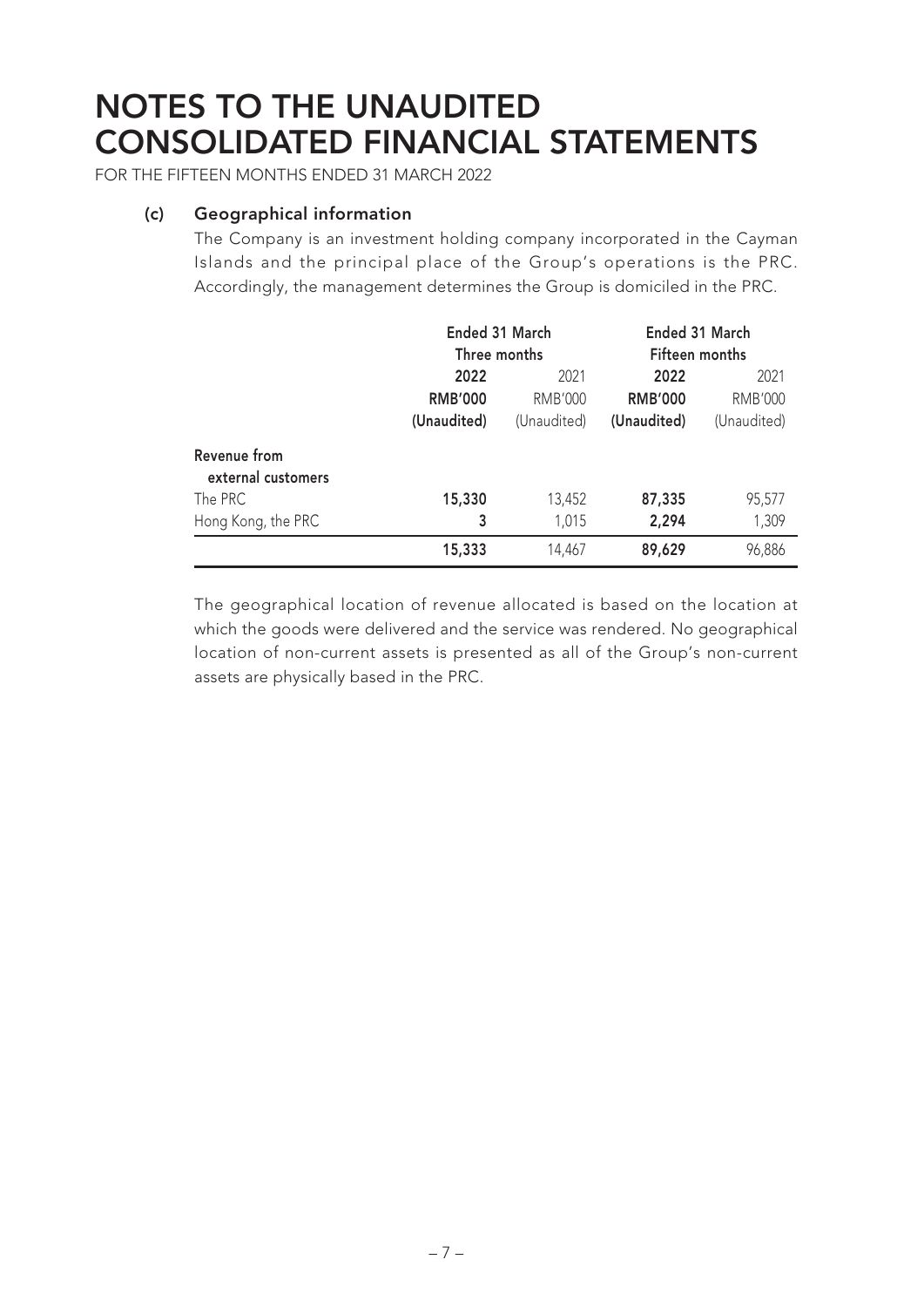FOR THE FIFTEEN MONTHS ENDED 31 MARCH 2022

#### **(c) Geographical information**

The Company is an investment holding company incorporated in the Cayman Islands and the principal place of the Group's operations is the PRC. Accordingly, the management determines the Group is domiciled in the PRC.

|                                    | Ended 31 March<br>Three months |                | Ended 31 March<br>Fifteen months |                |  |
|------------------------------------|--------------------------------|----------------|----------------------------------|----------------|--|
|                                    | 2022                           | 2021           | 2022                             | 2021           |  |
|                                    | <b>RMB'000</b>                 | <b>RMB'000</b> | <b>RMB'000</b>                   | <b>RMB'000</b> |  |
|                                    | (Unaudited)                    | (Unaudited)    | (Unaudited)                      | (Unaudited)    |  |
| Revenue from<br>external customers |                                |                |                                  |                |  |
| The PRC                            | 15,330                         | 13,452         | 87,335                           | 95,577         |  |
| Hong Kong, the PRC                 | 3                              | 1,015          | 2,294                            | 1,309          |  |
|                                    | 15,333                         | 14,467         | 89,629                           | 96,886         |  |

The geographical location of revenue allocated is based on the location at which the goods were delivered and the service was rendered. No geographical location of non-current assets is presented as all of the Group's non-current assets are physically based in the PRC.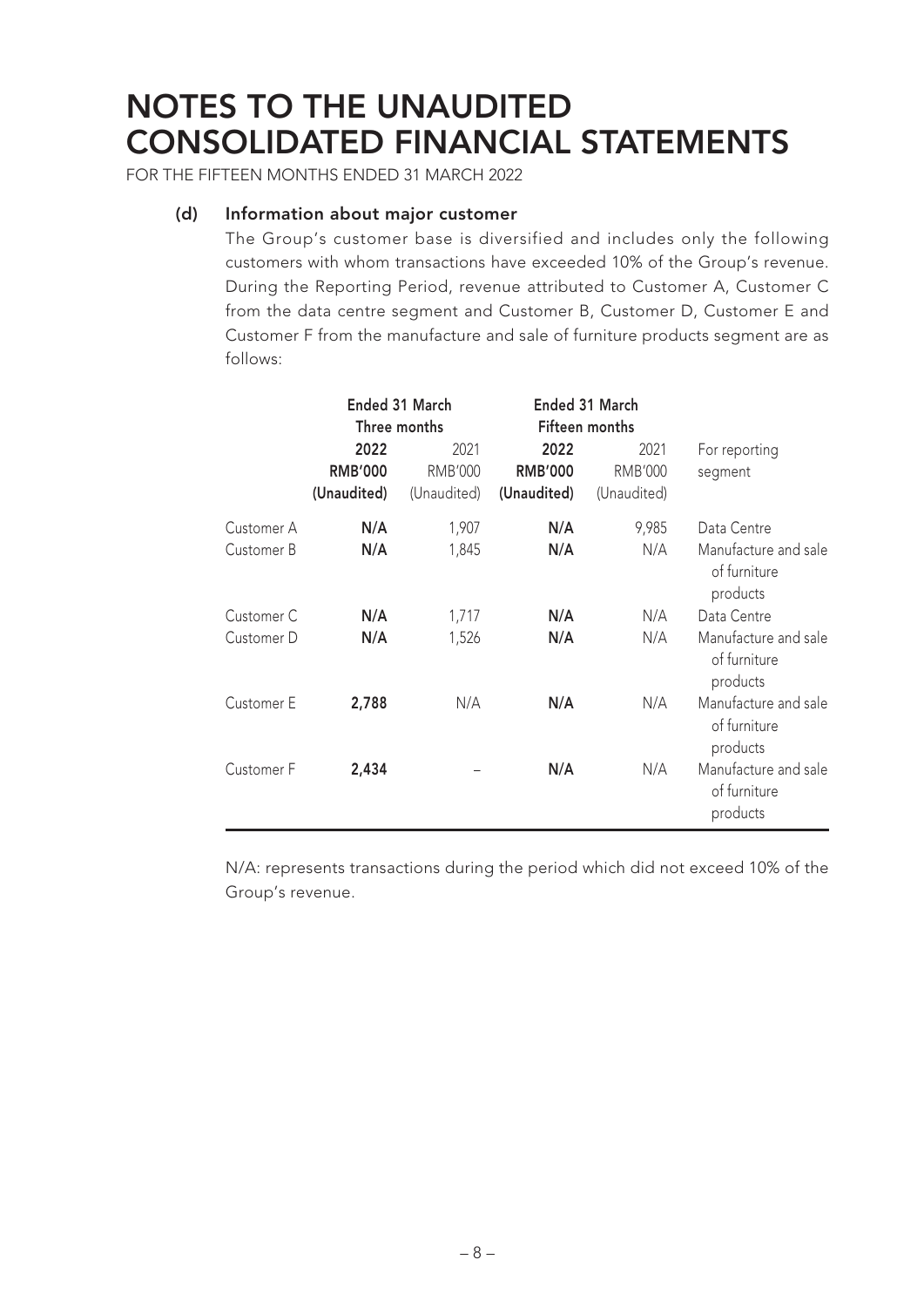FOR THE FIFTEEN MONTHS ENDED 31 MARCH 2022

#### **(d) Information about major customer**

The Group's customer base is diversified and includes only the following customers with whom transactions have exceeded 10% of the Group's revenue. During the Reporting Period, revenue attributed to Customer A, Customer C from the data centre segment and Customer B, Customer D, Customer E and Customer F from the manufacture and sale of furniture products segment are as follows:

|            |                                       | Ended 31 March<br>Three months        | Ended 31 March<br>Fifteen months      |                                       |                                                  |
|------------|---------------------------------------|---------------------------------------|---------------------------------------|---------------------------------------|--------------------------------------------------|
|            | 2022<br><b>RMB'000</b><br>(Unaudited) | 2021<br><b>RMB'000</b><br>(Unaudited) | 2022<br><b>RMB'000</b><br>(Unaudited) | 2021<br><b>RMB'000</b><br>(Unaudited) | For reporting<br>segment                         |
| Customer A | N/A                                   | 1,907                                 | N/A                                   | 9,985                                 | Data Centre                                      |
| Customer B | N/A                                   | 1,845                                 | N/A                                   | N/A                                   | Manufacture and sale<br>of furniture<br>products |
| Customer C | N/A                                   | 1,717                                 | N/A                                   | N/A                                   | Data Centre                                      |
| Customer D | N/A                                   | 1,526                                 | N/A                                   | N/A                                   | Manufacture and sale<br>of furniture<br>products |
| Customer E | 2,788                                 | N/A                                   | N/A                                   | N/A                                   | Manufacture and sale<br>of furniture<br>products |
| Customer F | 2,434                                 |                                       | N/A                                   | N/A                                   | Manufacture and sale<br>of furniture<br>products |

N/A: represents transactions during the period which did not exceed 10% of the Group's revenue.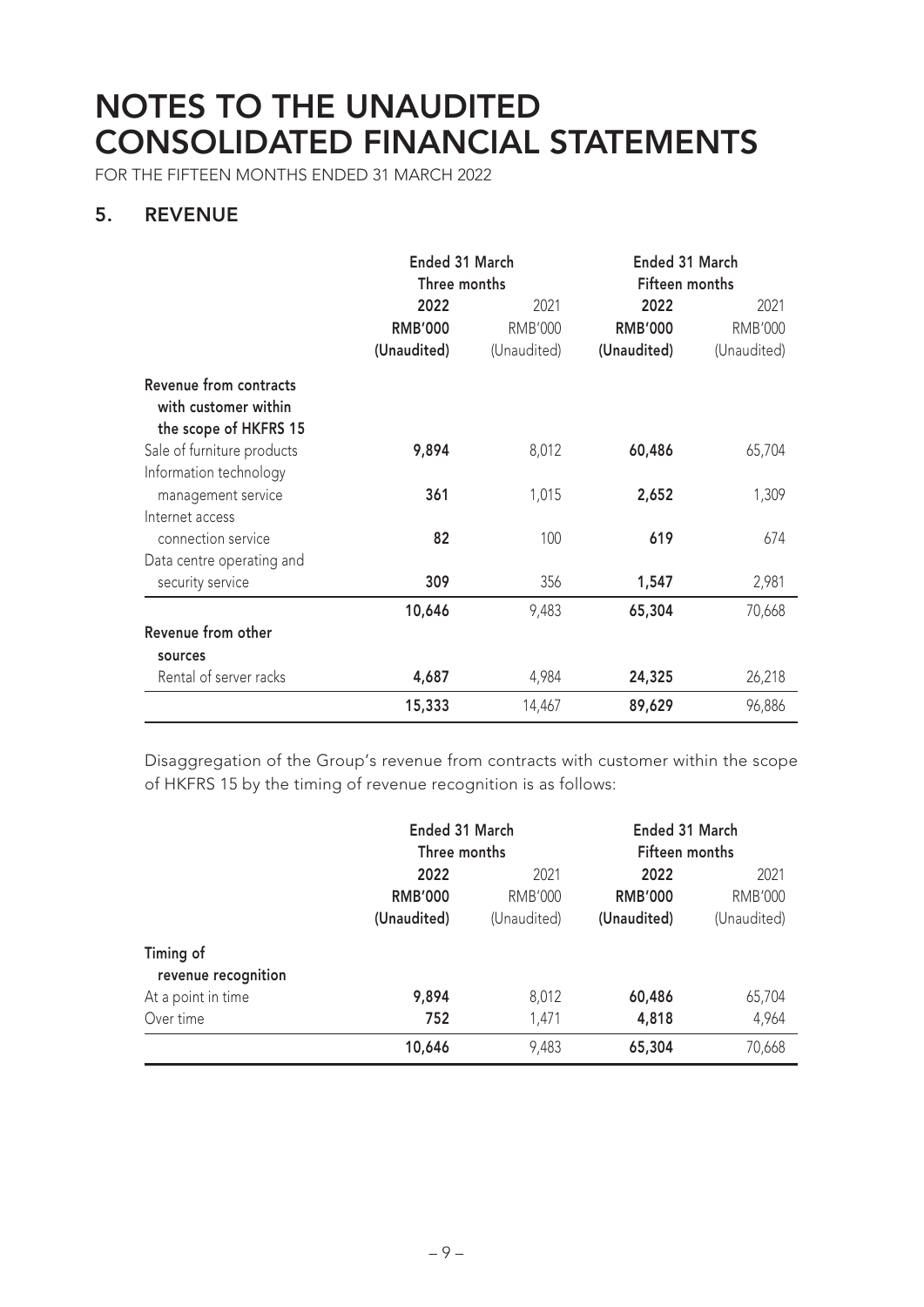FOR THE FIFTEEN MONTHS ENDED 31 MARCH 2022

### **5. REVENUE**

|                                                                         | Ended 31 March |                | Ended 31 March |                |  |
|-------------------------------------------------------------------------|----------------|----------------|----------------|----------------|--|
|                                                                         | Three months   |                | Fifteen months |                |  |
|                                                                         | 2022           | 2021           | 2022           | 2021           |  |
|                                                                         | <b>RMB'000</b> | <b>RMB'000</b> | <b>RMB'000</b> | <b>RMB'000</b> |  |
|                                                                         | (Unaudited)    | (Unaudited)    | (Unaudited)    | (Unaudited)    |  |
| Revenue from contracts<br>with customer within<br>the scope of HKFRS 15 |                |                |                |                |  |
| Sale of furniture products                                              | 9,894          | 8,012          | 60,486         | 65,704         |  |
| Information technology                                                  |                |                |                |                |  |
| management service                                                      | 361            | 1,015          | 2,652          | 1,309          |  |
| Internet access                                                         |                |                |                |                |  |
| connection service                                                      | 82             | 100            | 619            | 674            |  |
| Data centre operating and                                               |                |                |                |                |  |
| security service                                                        | 309            | 356            | 1,547          | 2,981          |  |
|                                                                         | 10,646         | 9,483          | 65,304         | 70,668         |  |
| Revenue from other                                                      |                |                |                |                |  |
| sources                                                                 |                |                |                |                |  |
| Rental of server racks                                                  | 4,687          | 4,984          | 24,325         | 26,218         |  |
|                                                                         | 15,333         | 14,467         | 89,629         | 96,886         |  |

Disaggregation of the Group's revenue from contracts with customer within the scope of HKFRS 15 by the timing of revenue recognition is as follows:

|                                  | Ended 31 March<br>Three months        |                                       | Ended 31 March<br>Fifteen months      |                                       |
|----------------------------------|---------------------------------------|---------------------------------------|---------------------------------------|---------------------------------------|
|                                  | 2022<br><b>RMB'000</b><br>(Unaudited) | 2021<br><b>RMB'000</b><br>(Unaudited) | 2022<br><b>RMB'000</b><br>(Unaudited) | 2021<br><b>RMB'000</b><br>(Unaudited) |
| Timing of<br>revenue recognition |                                       |                                       |                                       |                                       |
| At a point in time               | 9,894                                 | 8,012                                 | 60,486                                | 65,704                                |
| Over time                        | 752                                   | 1,471                                 | 4,818                                 | 4,964                                 |
|                                  | 10,646                                | 9,483                                 | 65,304                                | 70,668                                |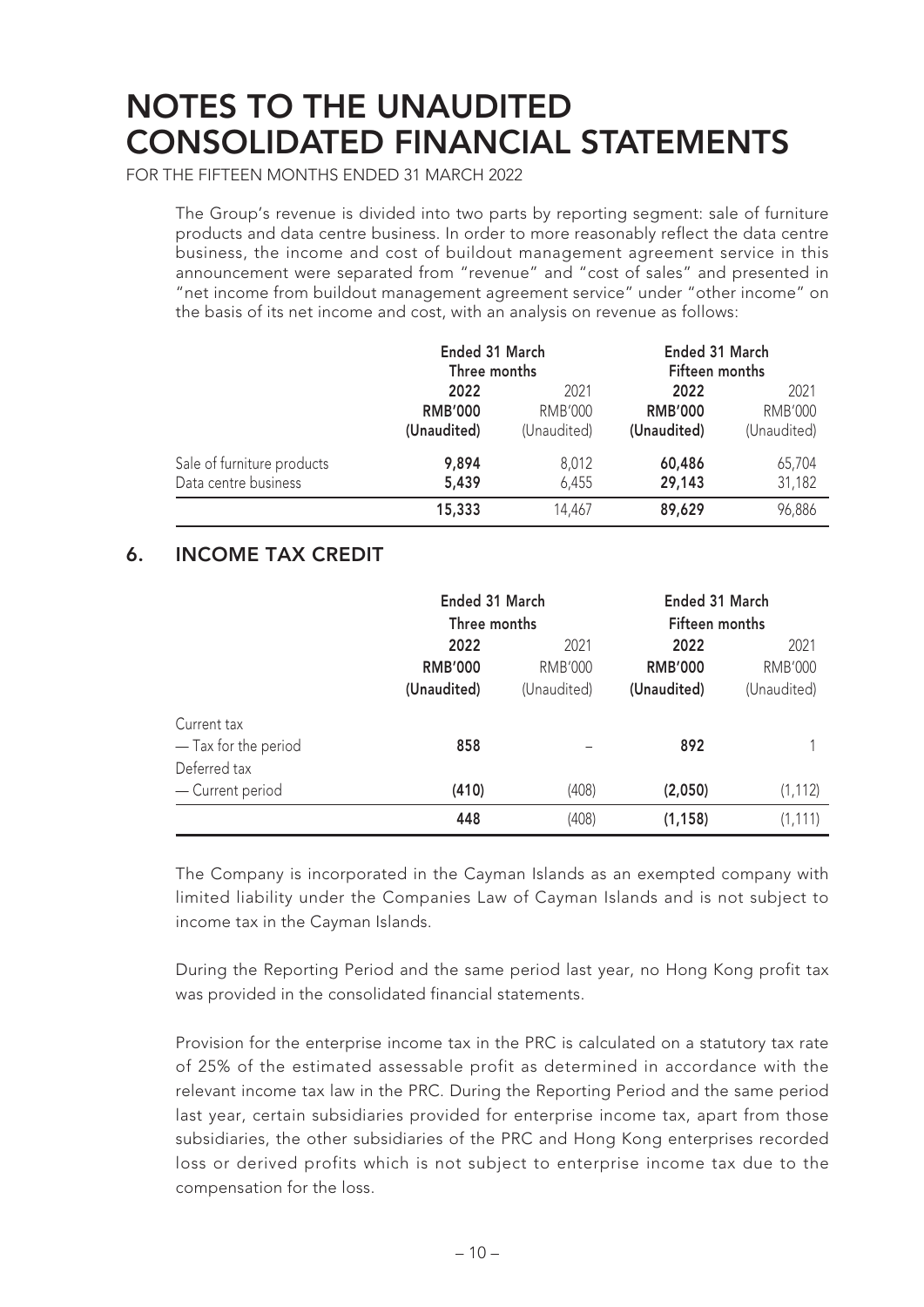FOR THE FIFTEEN MONTHS ENDED 31 MARCH 2022

The Group's revenue is divided into two parts by reporting segment: sale of furniture products and data centre business. In order to more reasonably reflect the data centre business, the income and cost of buildout management agreement service in this announcement were separated from "revenue" and "cost of sales" and presented in "net income from buildout management agreement service" under "other income" on the basis of its net income and cost, with an analysis on revenue as follows:

|                            | Ended 31 March<br>Three months |                | Ended 31 March<br>Fifteen months |                        |  |
|----------------------------|--------------------------------|----------------|----------------------------------|------------------------|--|
|                            | 2022                           | 2021           | 2022                             | 2021<br><b>RMB'000</b> |  |
|                            | <b>RMB'000</b>                 | <b>RMB'000</b> | <b>RMB'000</b>                   |                        |  |
|                            | (Unaudited)                    | (Unaudited)    | (Unaudited)                      | (Unaudited)            |  |
| Sale of furniture products | 9,894                          | 8,012          | 60,486                           | 65,704                 |  |
| Data centre business       | 5,439                          | 6,455          | 29,143                           | 31,182                 |  |
|                            | 15,333                         | 14,467         | 89,629                           | 96,886                 |  |

### **6. INCOME TAX CREDIT**

|                                                     | Ended 31 March<br>Three months        |                                       | Ended 31 March<br>Fifteen months      |                                       |
|-----------------------------------------------------|---------------------------------------|---------------------------------------|---------------------------------------|---------------------------------------|
|                                                     | 2022<br><b>RMB'000</b><br>(Unaudited) | 2021<br><b>RMB'000</b><br>(Unaudited) | 2022<br><b>RMB'000</b><br>(Unaudited) | 2021<br><b>RMB'000</b><br>(Unaudited) |
| Current tax<br>- Tax for the period<br>Deferred tax | 858                                   |                                       | 892                                   |                                       |
| - Current period                                    | (410)                                 | (408)                                 | (2,050)                               | (1, 112)                              |
|                                                     | 448                                   | (408)                                 | (1, 158)                              | (1, 111)                              |

The Company is incorporated in the Cayman Islands as an exempted company with limited liability under the Companies Law of Cayman Islands and is not subject to income tax in the Cayman Islands.

During the Reporting Period and the same period last year, no Hong Kong profit tax was provided in the consolidated financial statements.

Provision for the enterprise income tax in the PRC is calculated on a statutory tax rate of 25% of the estimated assessable profit as determined in accordance with the relevant income tax law in the PRC. During the Reporting Period and the same period last year, certain subsidiaries provided for enterprise income tax, apart from those subsidiaries, the other subsidiaries of the PRC and Hong Kong enterprises recorded loss or derived profits which is not subject to enterprise income tax due to the compensation for the loss.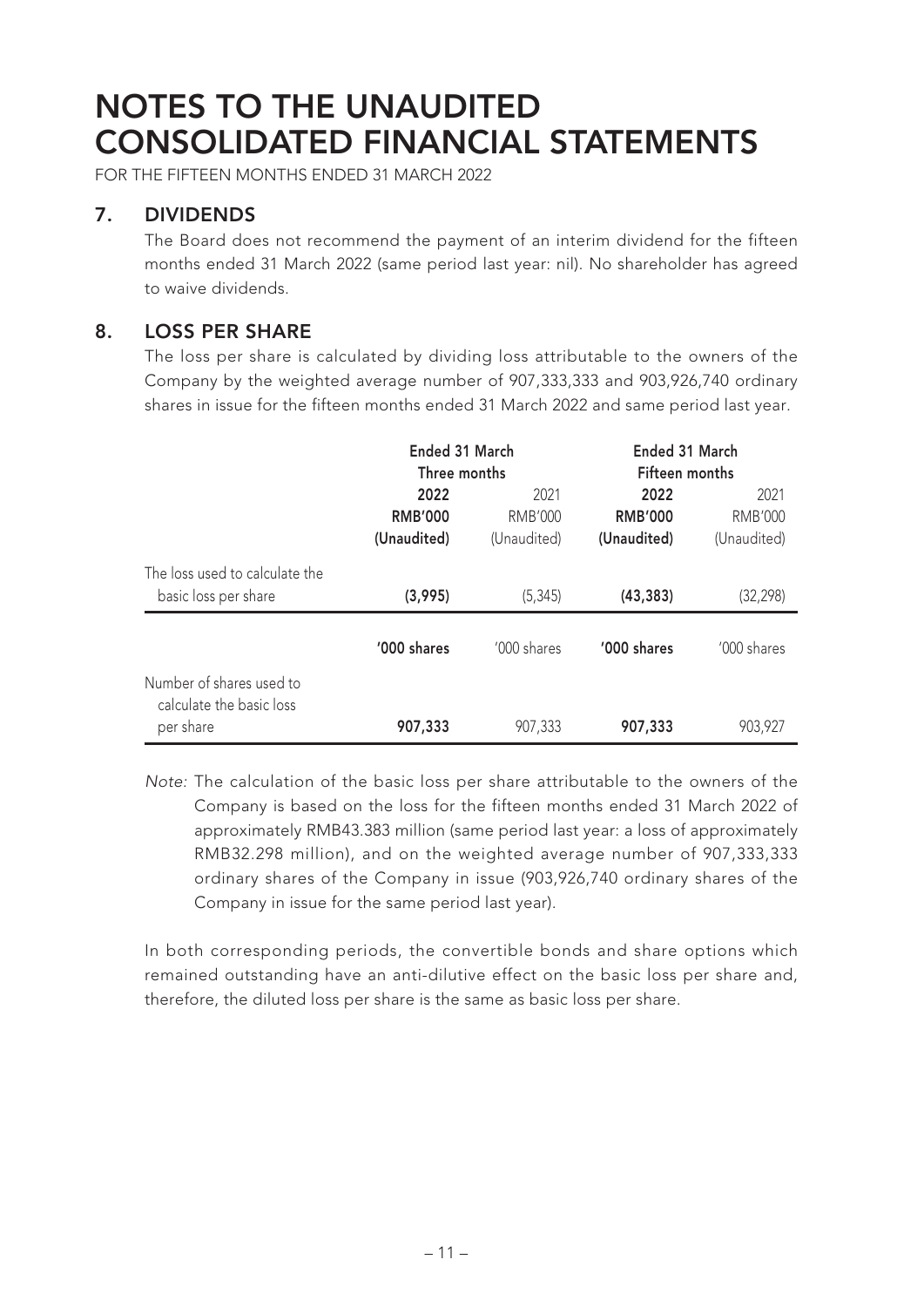FOR THE FIFTEEN MONTHS ENDED 31 MARCH 2022

### **7. DIVIDENDS**

The Board does not recommend the payment of an interim dividend for the fifteen months ended 31 March 2022 (same period last year: nil). No shareholder has agreed to waive dividends.

### **8. LOSS PER SHARE**

The loss per share is calculated by dividing loss attributable to the owners of the Company by the weighted average number of 907,333,333 and 903,926,740 ordinary shares in issue for the fifteen months ended 31 March 2022 and same period last year.

|                                                                   | Ended 31 March<br>Three months        |                                       | Ended 31 March<br>Fifteen months      |                                       |
|-------------------------------------------------------------------|---------------------------------------|---------------------------------------|---------------------------------------|---------------------------------------|
|                                                                   | 2022<br><b>RMB'000</b><br>(Unaudited) | 2021<br><b>RMB'000</b><br>(Unaudited) | 2022<br><b>RMB'000</b><br>(Unaudited) | 2021<br><b>RMB'000</b><br>(Unaudited) |
| The loss used to calculate the<br>basic loss per share            | (3,995)                               | (5, 345)                              | (43, 383)                             | (32, 298)                             |
|                                                                   | '000 shares                           | '000 shares                           | '000 shares                           | '000 shares                           |
| Number of shares used to<br>calculate the basic loss<br>per share | 907,333                               | 907,333                               | 907,333                               | 903,927                               |

Note: The calculation of the basic loss per share attributable to the owners of the Company is based on the loss for the fifteen months ended 31 March 2022 of approximately RMB43.383 million (same period last year: a loss of approximately RMB32.298 million), and on the weighted average number of 907,333,333 ordinary shares of the Company in issue (903,926,740 ordinary shares of the Company in issue for the same period last year).

In both corresponding periods, the convertible bonds and share options which remained outstanding have an anti-dilutive effect on the basic loss per share and, therefore, the diluted loss per share is the same as basic loss per share.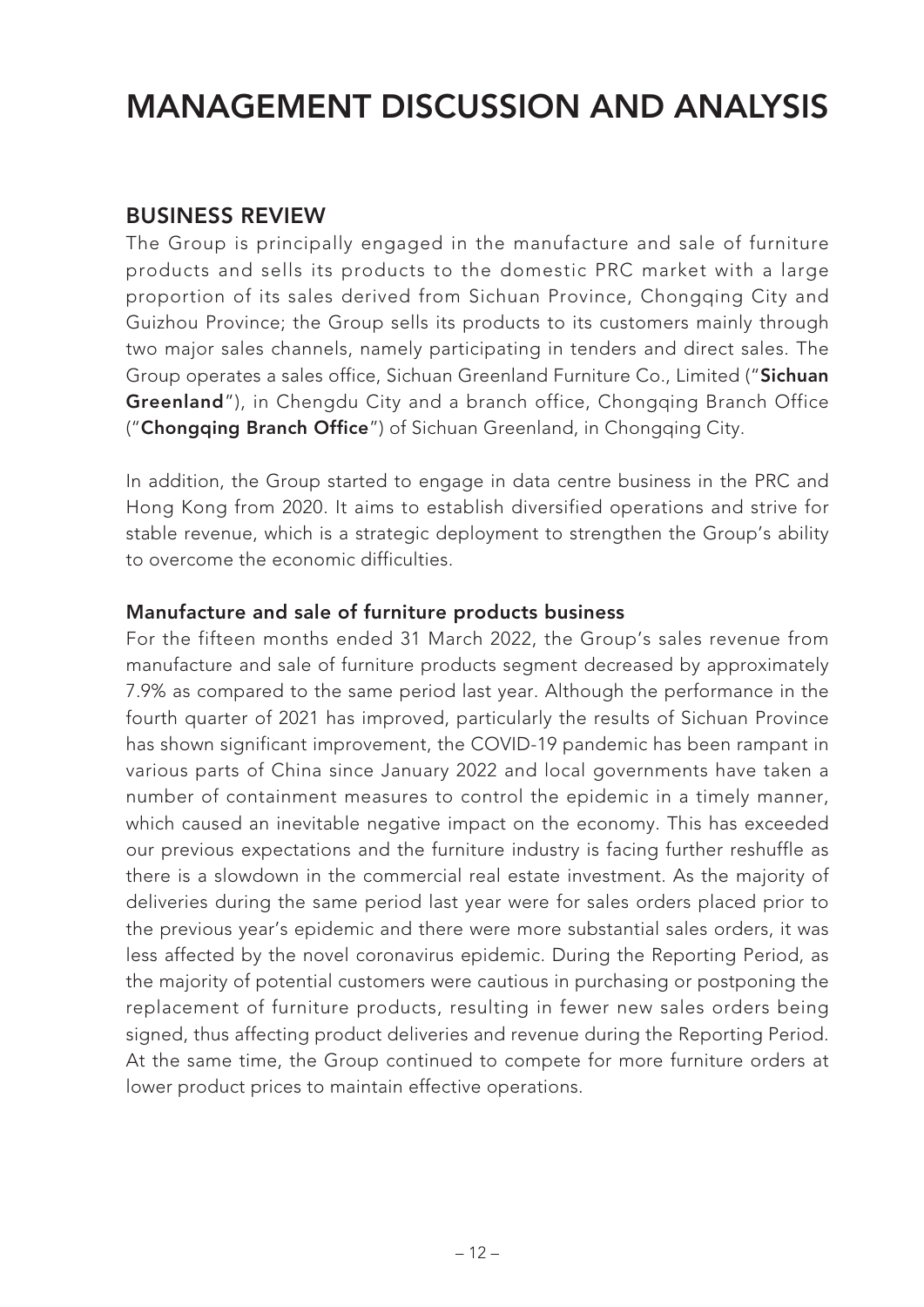### **BUSINESS REVIEW**

The Group is principally engaged in the manufacture and sale of furniture products and sells its products to the domestic PRC market with a large proportion of its sales derived from Sichuan Province, Chongqing City and Guizhou Province; the Group sells its products to its customers mainly through two major sales channels, namely participating in tenders and direct sales. The Group operates a sales office, Sichuan Greenland Furniture Co., Limited ("**Sichuan Greenland**"), in Chengdu City and a branch office, Chongqing Branch Office ("**Chongqing Branch Office**") of Sichuan Greenland, in Chongqing City.

In addition, the Group started to engage in data centre business in the PRC and Hong Kong from 2020. It aims to establish diversified operations and strive for stable revenue, which is a strategic deployment to strengthen the Group's ability to overcome the economic difficulties.

#### **Manufacture and sale of furniture products business**

For the fifteen months ended 31 March 2022, the Group's sales revenue from manufacture and sale of furniture products segment decreased by approximately 7.9% as compared to the same period last year. Although the performance in the fourth quarter of 2021 has improved, particularly the results of Sichuan Province has shown significant improvement, the COVID-19 pandemic has been rampant in various parts of China since January 2022 and local governments have taken a number of containment measures to control the epidemic in a timely manner, which caused an inevitable negative impact on the economy. This has exceeded our previous expectations and the furniture industry is facing further reshuffle as there is a slowdown in the commercial real estate investment. As the majority of deliveries during the same period last year were for sales orders placed prior to the previous year's epidemic and there were more substantial sales orders, it was less affected by the novel coronavirus epidemic. During the Reporting Period, as the majority of potential customers were cautious in purchasing or postponing the replacement of furniture products, resulting in fewer new sales orders being signed, thus affecting product deliveries and revenue during the Reporting Period. At the same time, the Group continued to compete for more furniture orders at lower product prices to maintain effective operations.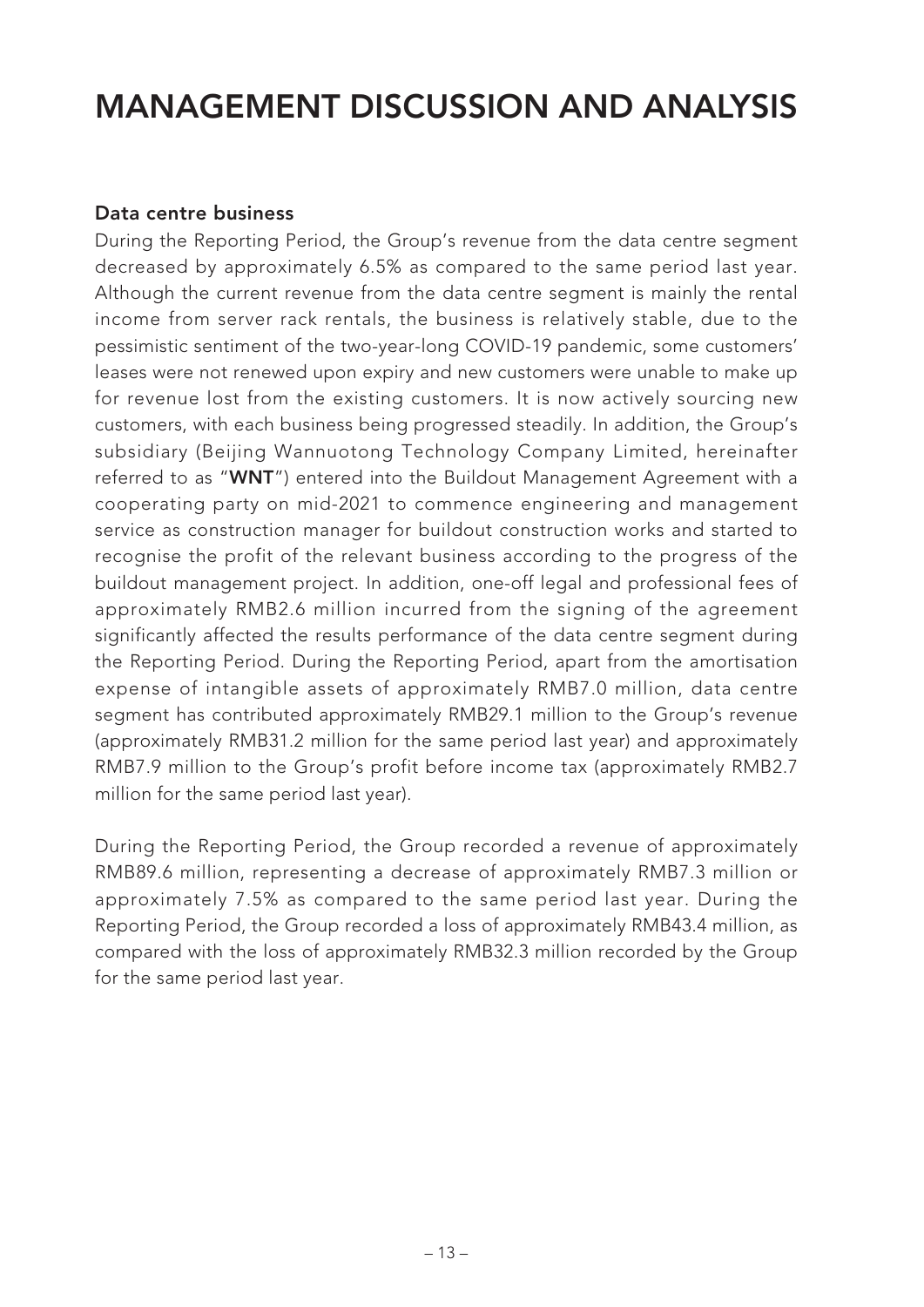#### **Data centre business**

During the Reporting Period, the Group's revenue from the data centre segment decreased by approximately 6.5% as compared to the same period last year. Although the current revenue from the data centre segment is mainly the rental income from server rack rentals, the business is relatively stable, due to the pessimistic sentiment of the two-year-long COVID-19 pandemic, some customers' leases were not renewed upon expiry and new customers were unable to make up for revenue lost from the existing customers. It is now actively sourcing new customers, with each business being progressed steadily. In addition, the Group's subsidiary (Beijing Wannuotong Technology Company Limited, hereinafter referred to as "**WNT**") entered into the Buildout Management Agreement with a cooperating party on mid-2021 to commence engineering and management service as construction manager for buildout construction works and started to recognise the profit of the relevant business according to the progress of the buildout management project. In addition, one-off legal and professional fees of approximately RMB2.6 million incurred from the signing of the agreement significantly affected the results performance of the data centre segment during the Reporting Period. During the Reporting Period, apart from the amortisation expense of intangible assets of approximately RMB7.0 million, data centre segment has contributed approximately RMB29.1 million to the Group's revenue (approximately RMB31.2 million for the same period last year) and approximately RMB7.9 million to the Group's profit before income tax (approximately RMB2.7 million for the same period last year).

During the Reporting Period, the Group recorded a revenue of approximately RMB89.6 million, representing a decrease of approximately RMB7.3 million or approximately 7.5% as compared to the same period last year. During the Reporting Period, the Group recorded a loss of approximately RMB43.4 million, as compared with the loss of approximately RMB32.3 million recorded by the Group for the same period last year.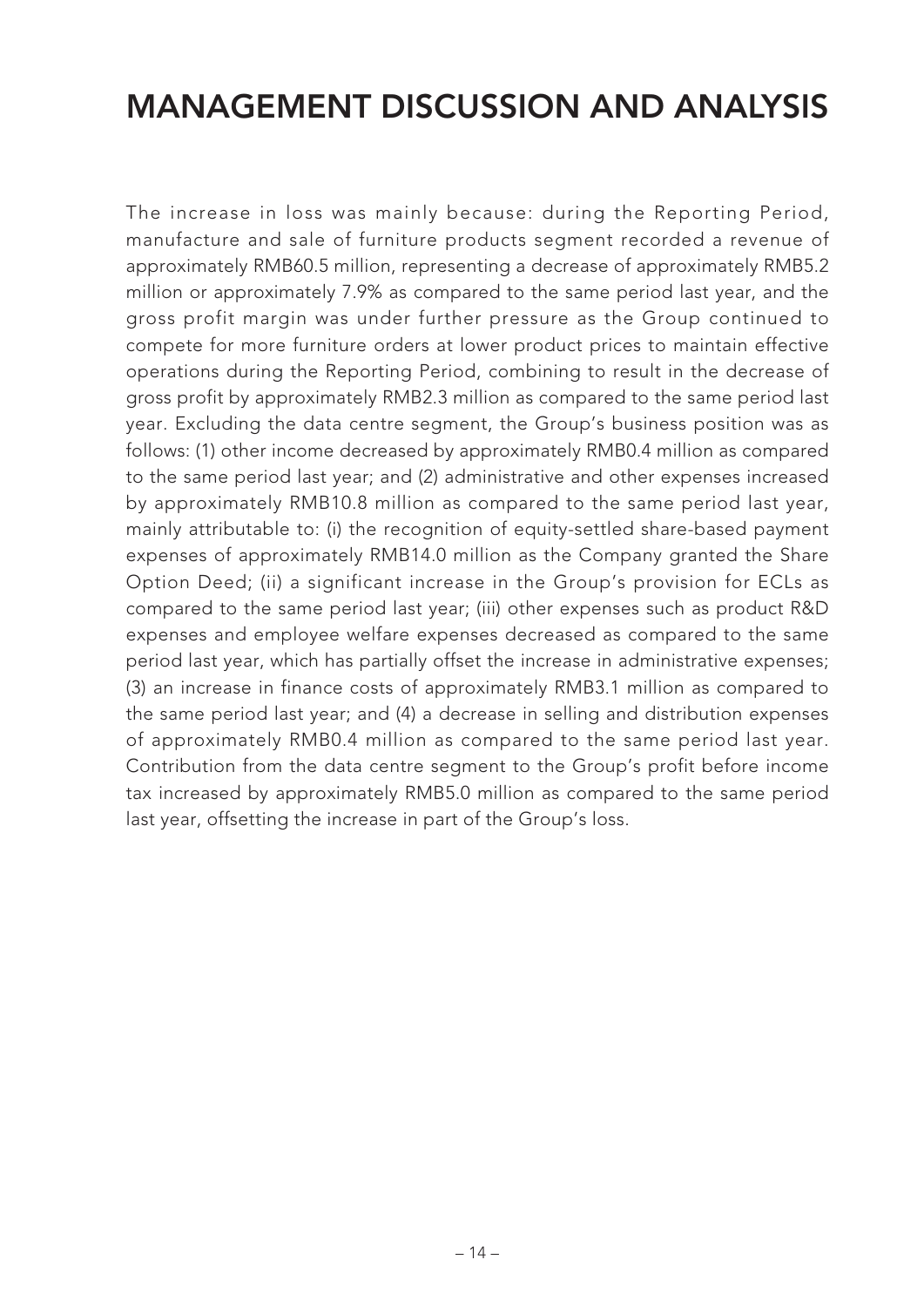The increase in loss was mainly because: during the Reporting Period, manufacture and sale of furniture products segment recorded a revenue of approximately RMB60.5 million, representing a decrease of approximately RMB5.2 million or approximately 7.9% as compared to the same period last year, and the gross profit margin was under further pressure as the Group continued to compete for more furniture orders at lower product prices to maintain effective operations during the Reporting Period, combining to result in the decrease of gross profit by approximately RMB2.3 million as compared to the same period last year. Excluding the data centre segment, the Group's business position was as follows: (1) other income decreased by approximately RMB0.4 million as compared to the same period last year; and (2) administrative and other expenses increased by approximately RMB10.8 million as compared to the same period last year, mainly attributable to: (i) the recognition of equity-settled share-based payment expenses of approximately RMB14.0 million as the Company granted the Share Option Deed; (ii) a significant increase in the Group's provision for ECLs as compared to the same period last year; (iii) other expenses such as product R&D expenses and employee welfare expenses decreased as compared to the same period last year, which has partially offset the increase in administrative expenses; (3) an increase in finance costs of approximately RMB3.1 million as compared to the same period last year; and (4) a decrease in selling and distribution expenses of approximately RMB0.4 million as compared to the same period last year. Contribution from the data centre segment to the Group's profit before income tax increased by approximately RMB5.0 million as compared to the same period last year, offsetting the increase in part of the Group's loss.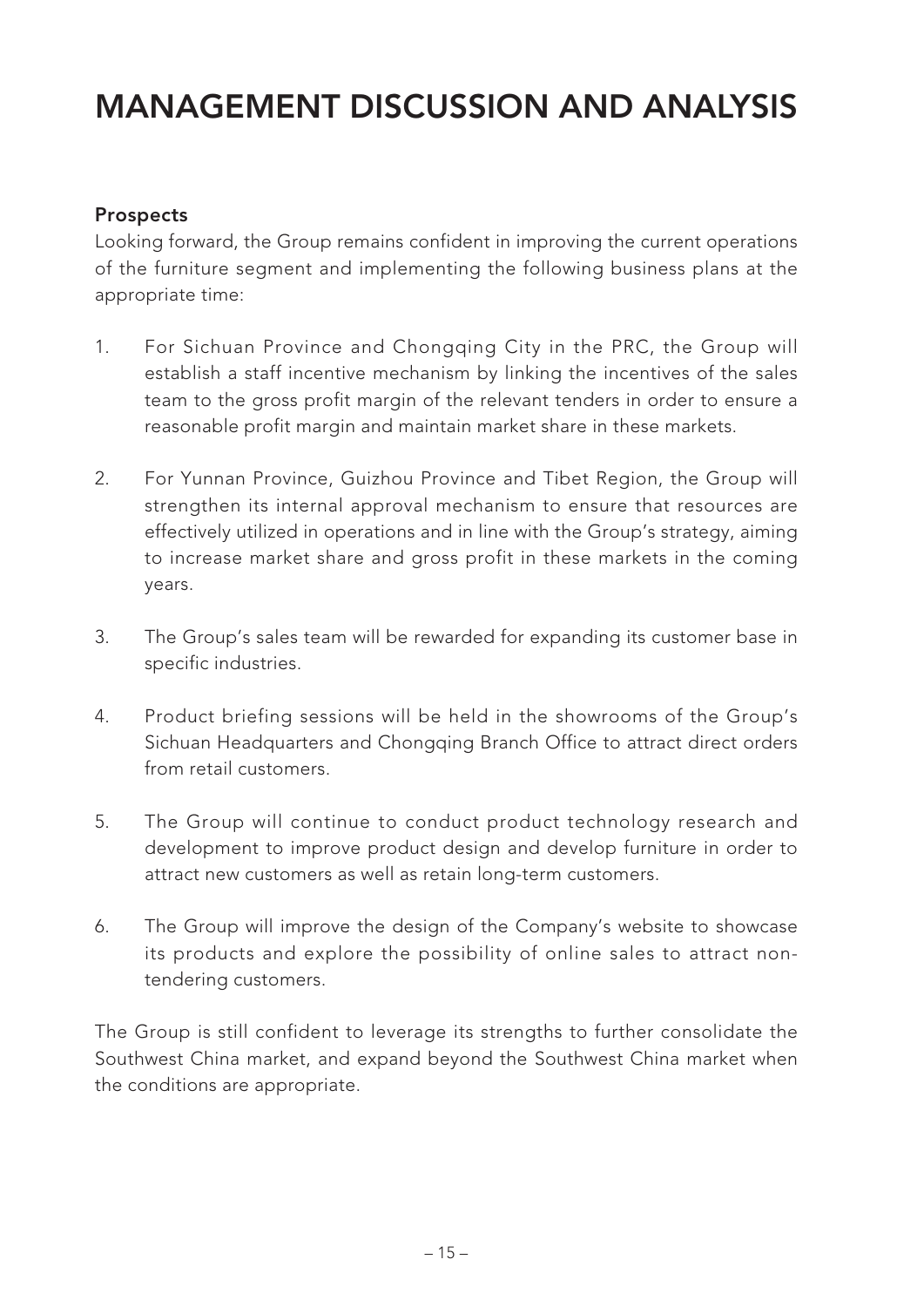### **Prospects**

Looking forward, the Group remains confident in improving the current operations of the furniture segment and implementing the following business plans at the appropriate time:

- 1. For Sichuan Province and Chongqing City in the PRC, the Group will establish a staff incentive mechanism by linking the incentives of the sales team to the gross profit margin of the relevant tenders in order to ensure a reasonable profit margin and maintain market share in these markets.
- 2. For Yunnan Province, Guizhou Province and Tibet Region, the Group will strengthen its internal approval mechanism to ensure that resources are effectively utilized in operations and in line with the Group's strategy, aiming to increase market share and gross profit in these markets in the coming years.
- 3. The Group's sales team will be rewarded for expanding its customer base in specific industries.
- 4. Product briefing sessions will be held in the showrooms of the Group's Sichuan Headquarters and Chongqing Branch Office to attract direct orders from retail customers.
- 5. The Group will continue to conduct product technology research and development to improve product design and develop furniture in order to attract new customers as well as retain long-term customers.
- 6. The Group will improve the design of the Company's website to showcase its products and explore the possibility of online sales to attract nontendering customers.

The Group is still confident to leverage its strengths to further consolidate the Southwest China market, and expand beyond the Southwest China market when the conditions are appropriate.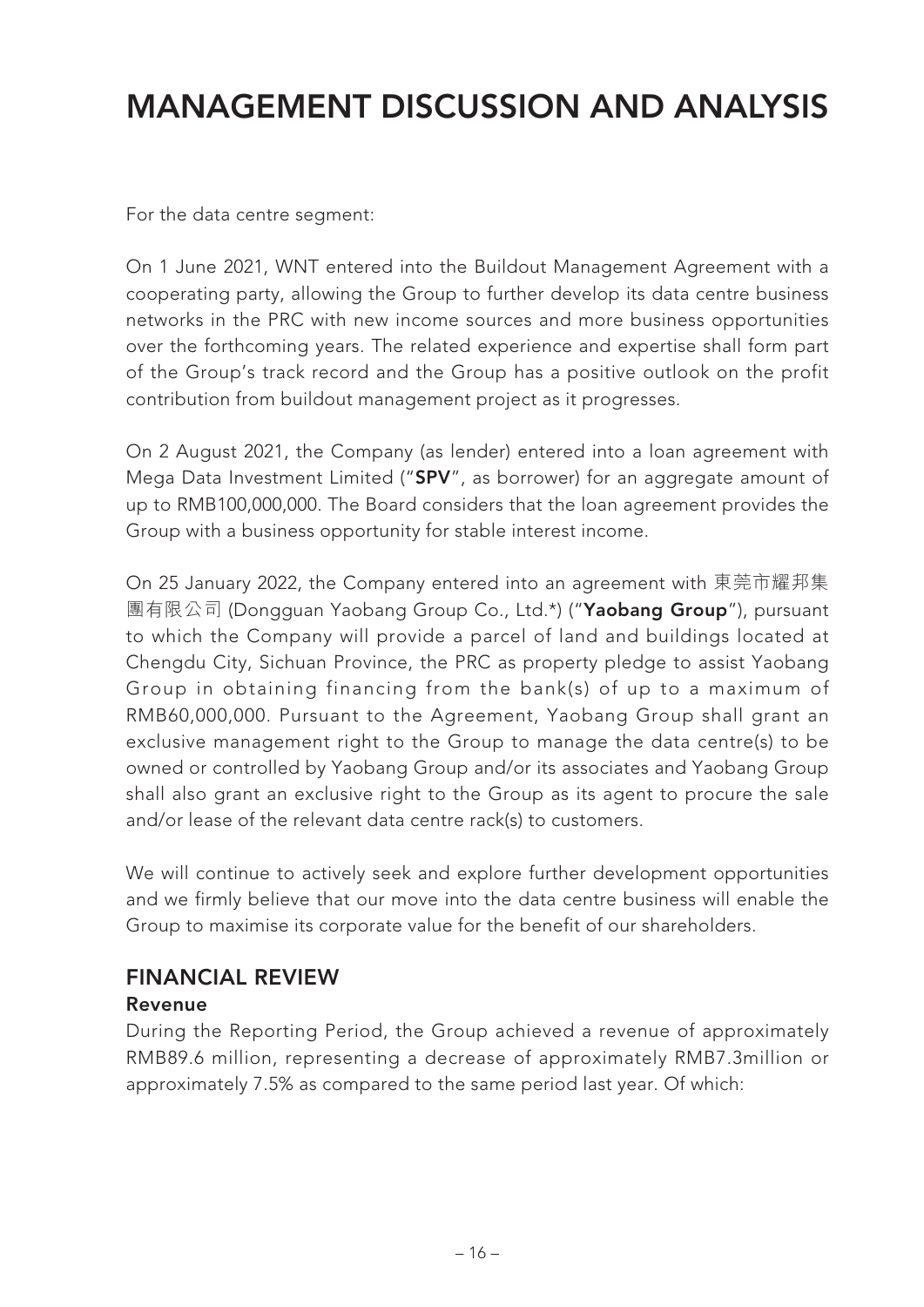For the data centre segment:

On 1 June 2021, WNT entered into the Buildout Management Agreement with a cooperating party, allowing the Group to further develop its data centre business networks in the PRC with new income sources and more business opportunities over the forthcoming years. The related experience and expertise shall form part of the Group's track record and the Group has a positive outlook on the profit contribution from buildout management project as it progresses.

On 2 August 2021, the Company (as lender) entered into a loan agreement with Mega Data Investment Limited ("**SPV**", as borrower) for an aggregate amount of up to RMB100,000,000. The Board considers that the loan agreement provides the Group with a business opportunity for stable interest income.

On 25 January 2022, the Company entered into an agreement with 東莞市耀邦集 團有限公司 (Dongguan Yaobang Group Co., Ltd.\*) ("**Yaobang Group**"), pursuant to which the Company will provide a parcel of land and buildings located at Chengdu City, Sichuan Province, the PRC as property pledge to assist Yaobang Group in obtaining financing from the bank(s) of up to a maximum of RMB60,000,000. Pursuant to the Agreement, Yaobang Group shall grant an exclusive management right to the Group to manage the data centre(s) to be owned or controlled by Yaobang Group and/or its associates and Yaobang Group shall also grant an exclusive right to the Group as its agent to procure the sale and/or lease of the relevant data centre rack(s) to customers.

We will continue to actively seek and explore further development opportunities and we firmly believe that our move into the data centre business will enable the Group to maximise its corporate value for the benefit of our shareholders.

### **FINANCIAL REVIEW**

#### **Revenue**

During the Reporting Period, the Group achieved a revenue of approximately RMB89.6 million, representing a decrease of approximately RMB7.3million or approximately 7.5% as compared to the same period last year. Of which: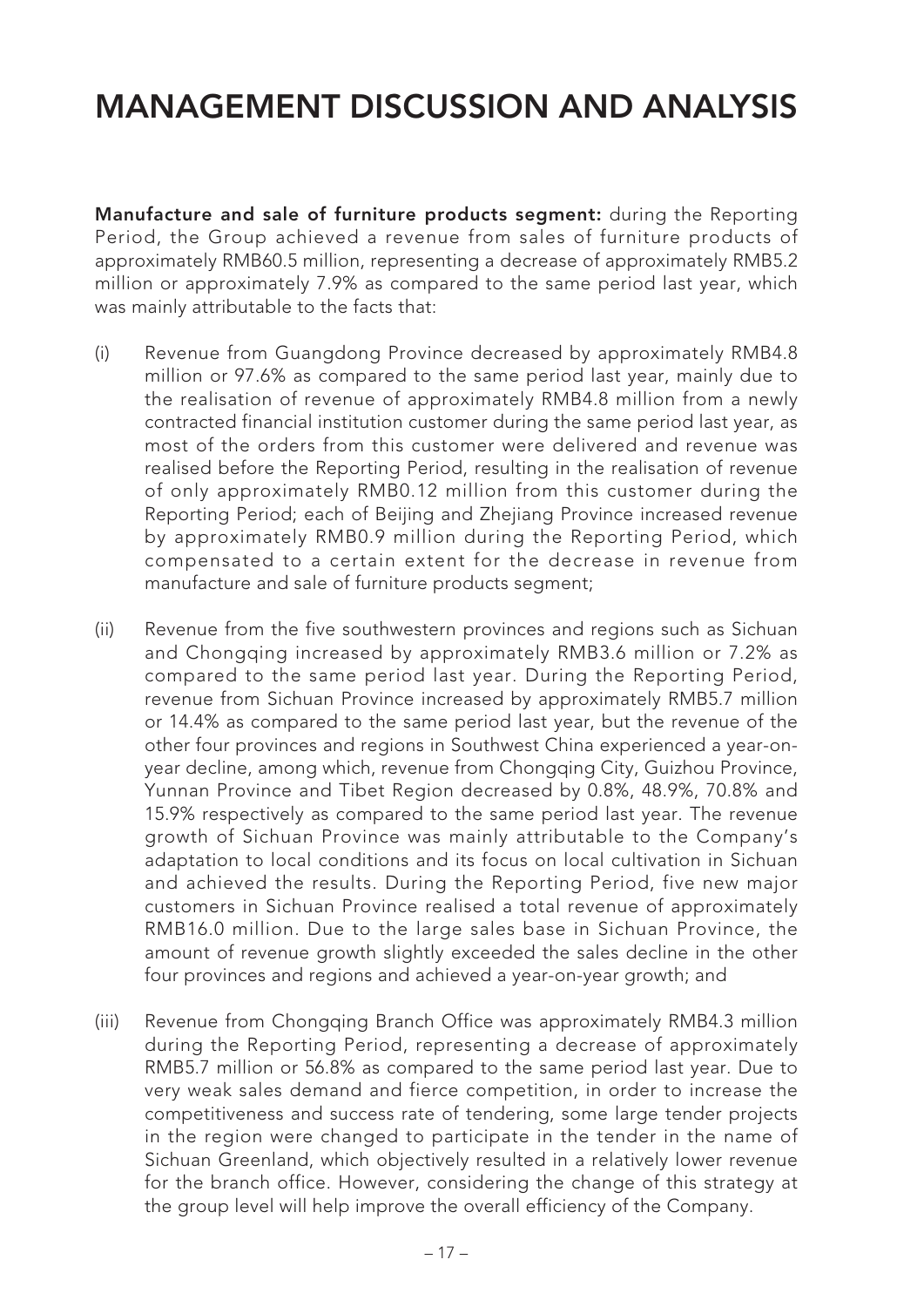**Manufacture and sale of furniture products segment:** during the Reporting Period, the Group achieved a revenue from sales of furniture products of approximately RMB60.5 million, representing a decrease of approximately RMB5.2 million or approximately 7.9% as compared to the same period last year, which was mainly attributable to the facts that:

- (i) Revenue from Guangdong Province decreased by approximately RMB4.8 million or 97.6% as compared to the same period last year, mainly due to the realisation of revenue of approximately RMB4.8 million from a newly contracted financial institution customer during the same period last year, as most of the orders from this customer were delivered and revenue was realised before the Reporting Period, resulting in the realisation of revenue of only approximately RMB0.12 million from this customer during the Reporting Period; each of Beijing and Zhejiang Province increased revenue by approximately RMB0.9 million during the Reporting Period, which compensated to a certain extent for the decrease in revenue from manufacture and sale of furniture products segment;
- (ii) Revenue from the five southwestern provinces and regions such as Sichuan and Chongqing increased by approximately RMB3.6 million or 7.2% as compared to the same period last year. During the Reporting Period, revenue from Sichuan Province increased by approximately RMB5.7 million or 14.4% as compared to the same period last year, but the revenue of the other four provinces and regions in Southwest China experienced a year-onyear decline, among which, revenue from Chongqing City, Guizhou Province, Yunnan Province and Tibet Region decreased by 0.8%, 48.9%, 70.8% and 15.9% respectively as compared to the same period last year. The revenue growth of Sichuan Province was mainly attributable to the Company's adaptation to local conditions and its focus on local cultivation in Sichuan and achieved the results. During the Reporting Period, five new major customers in Sichuan Province realised a total revenue of approximately RMB16.0 million. Due to the large sales base in Sichuan Province, the amount of revenue growth slightly exceeded the sales decline in the other four provinces and regions and achieved a year-on-year growth; and
- (iii) Revenue from Chongqing Branch Office was approximately RMB4.3 million during the Reporting Period, representing a decrease of approximately RMB5.7 million or 56.8% as compared to the same period last year. Due to very weak sales demand and fierce competition, in order to increase the competitiveness and success rate of tendering, some large tender projects in the region were changed to participate in the tender in the name of Sichuan Greenland, which objectively resulted in a relatively lower revenue for the branch office. However, considering the change of this strategy at the group level will help improve the overall efficiency of the Company.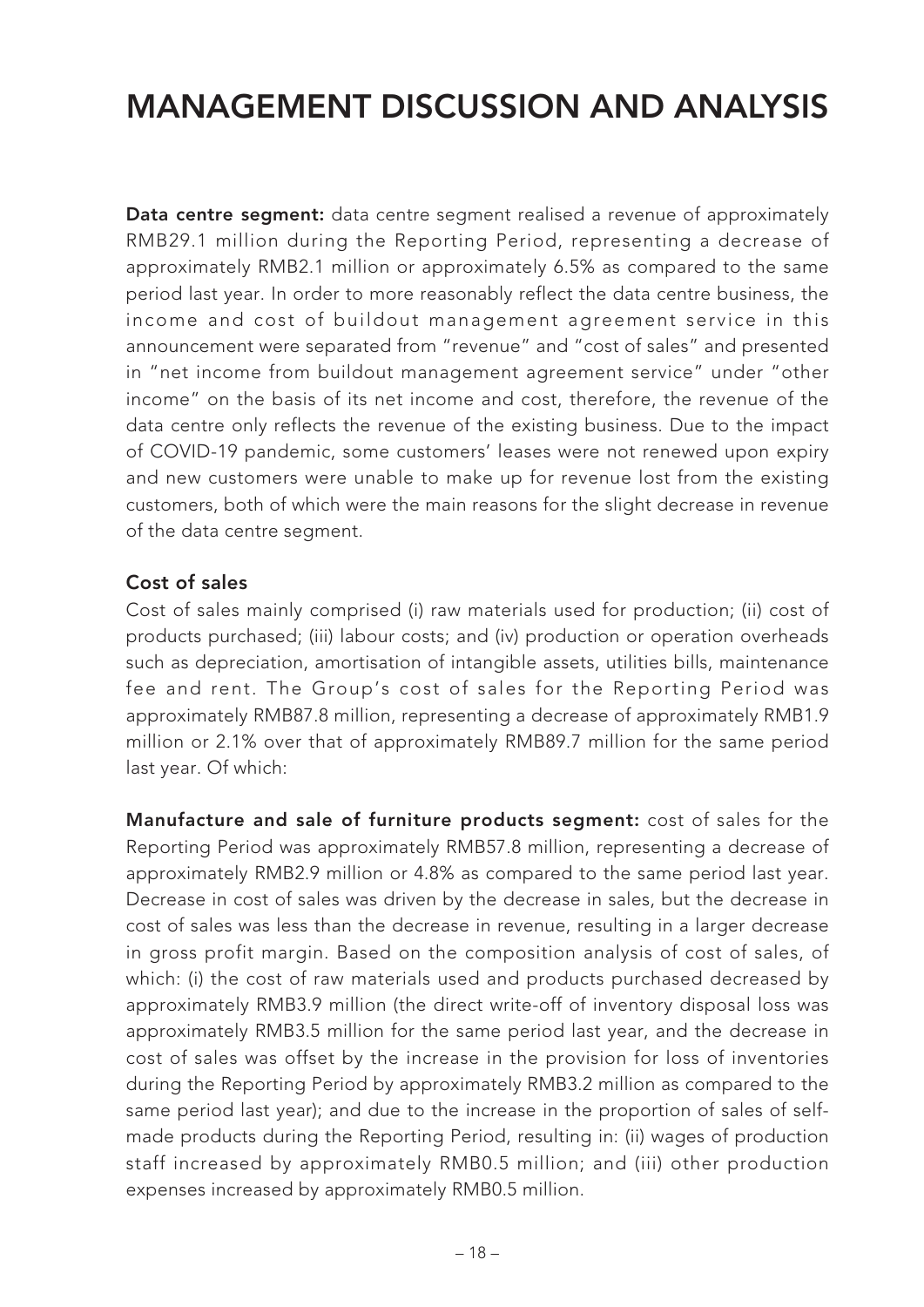**Data centre segment:** data centre segment realised a revenue of approximately RMB29.1 million during the Reporting Period, representing a decrease of approximately RMB2.1 million or approximately 6.5% as compared to the same period last year. In order to more reasonably reflect the data centre business, the income and cost of buildout management agreement service in this announcement were separated from "revenue" and "cost of sales" and presented in "net income from buildout management agreement service" under "other income" on the basis of its net income and cost, therefore, the revenue of the data centre only reflects the revenue of the existing business. Due to the impact of COVID-19 pandemic, some customers' leases were not renewed upon expiry and new customers were unable to make up for revenue lost from the existing customers, both of which were the main reasons for the slight decrease in revenue of the data centre segment.

### **Cost of sales**

Cost of sales mainly comprised (i) raw materials used for production; (ii) cost of products purchased; (iii) labour costs; and (iv) production or operation overheads such as depreciation, amortisation of intangible assets, utilities bills, maintenance fee and rent. The Group's cost of sales for the Reporting Period was approximately RMB87.8 million, representing a decrease of approximately RMB1.9 million or 2.1% over that of approximately RMB89.7 million for the same period last year. Of which:

**Manufacture and sale of furniture products segment:** cost of sales for the Reporting Period was approximately RMB57.8 million, representing a decrease of approximately RMB2.9 million or 4.8% as compared to the same period last year. Decrease in cost of sales was driven by the decrease in sales, but the decrease in cost of sales was less than the decrease in revenue, resulting in a larger decrease in gross profit margin. Based on the composition analysis of cost of sales, of which: (i) the cost of raw materials used and products purchased decreased by approximately RMB3.9 million (the direct write-off of inventory disposal loss was approximately RMB3.5 million for the same period last year, and the decrease in cost of sales was offset by the increase in the provision for loss of inventories during the Reporting Period by approximately RMB3.2 million as compared to the same period last year); and due to the increase in the proportion of sales of selfmade products during the Reporting Period, resulting in: (ii) wages of production staff increased by approximately RMB0.5 million; and (iii) other production expenses increased by approximately RMB0.5 million.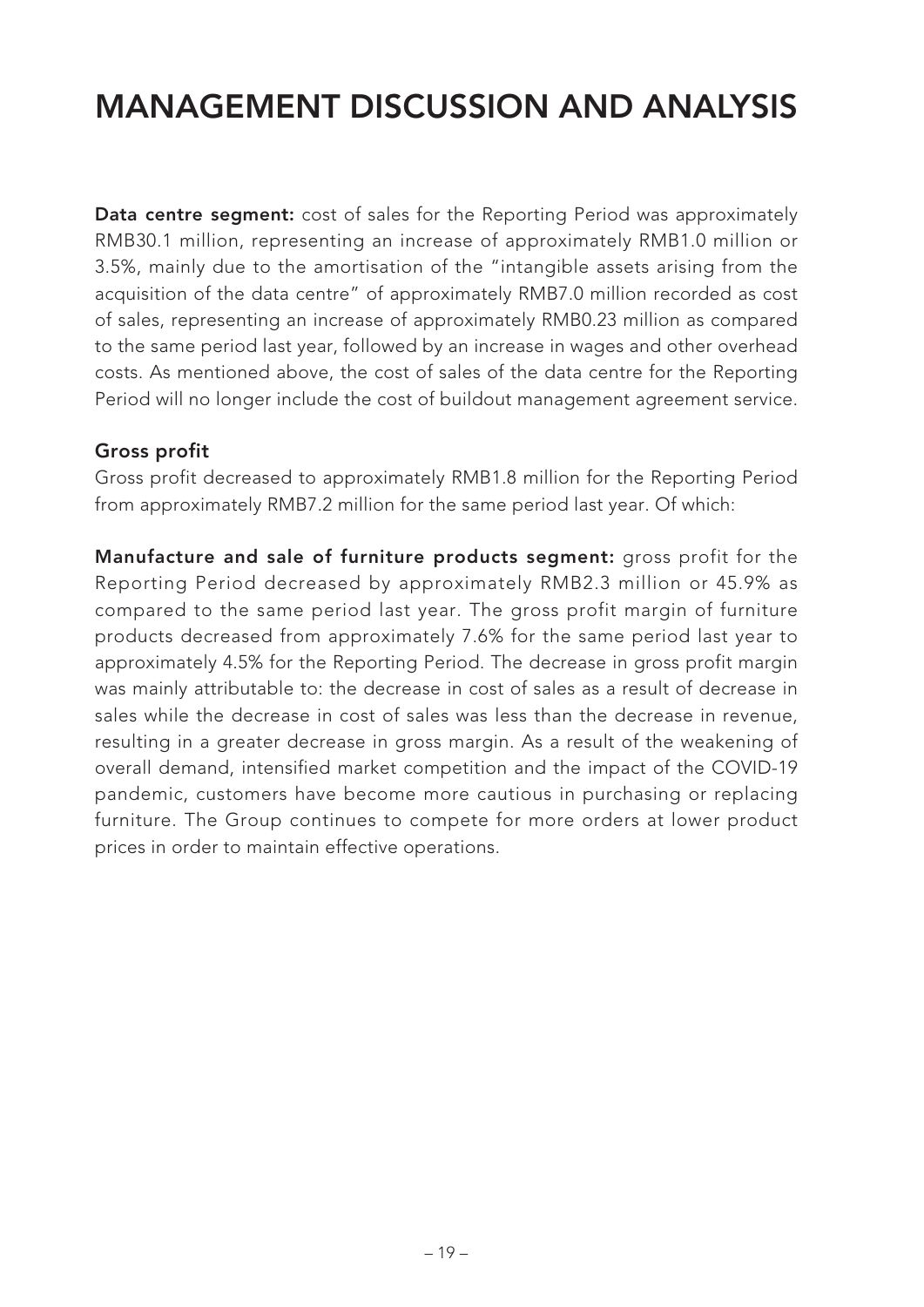**Data centre segment:** cost of sales for the Reporting Period was approximately RMB30.1 million, representing an increase of approximately RMB1.0 million or 3.5%, mainly due to the amortisation of the "intangible assets arising from the acquisition of the data centre" of approximately RMB7.0 million recorded as cost of sales, representing an increase of approximately RMB0.23 million as compared to the same period last year, followed by an increase in wages and other overhead costs. As mentioned above, the cost of sales of the data centre for the Reporting Period will no longer include the cost of buildout management agreement service.

#### **Gross profit**

Gross profit decreased to approximately RMB1.8 million for the Reporting Period from approximately RMB7.2 million for the same period last year. Of which:

**Manufacture and sale of furniture products segment:** gross profit for the Reporting Period decreased by approximately RMB2.3 million or 45.9% as compared to the same period last year. The gross profit margin of furniture products decreased from approximately 7.6% for the same period last year to approximately 4.5% for the Reporting Period. The decrease in gross profit margin was mainly attributable to: the decrease in cost of sales as a result of decrease in sales while the decrease in cost of sales was less than the decrease in revenue, resulting in a greater decrease in gross margin. As a result of the weakening of overall demand, intensified market competition and the impact of the COVID-19 pandemic, customers have become more cautious in purchasing or replacing furniture. The Group continues to compete for more orders at lower product prices in order to maintain effective operations.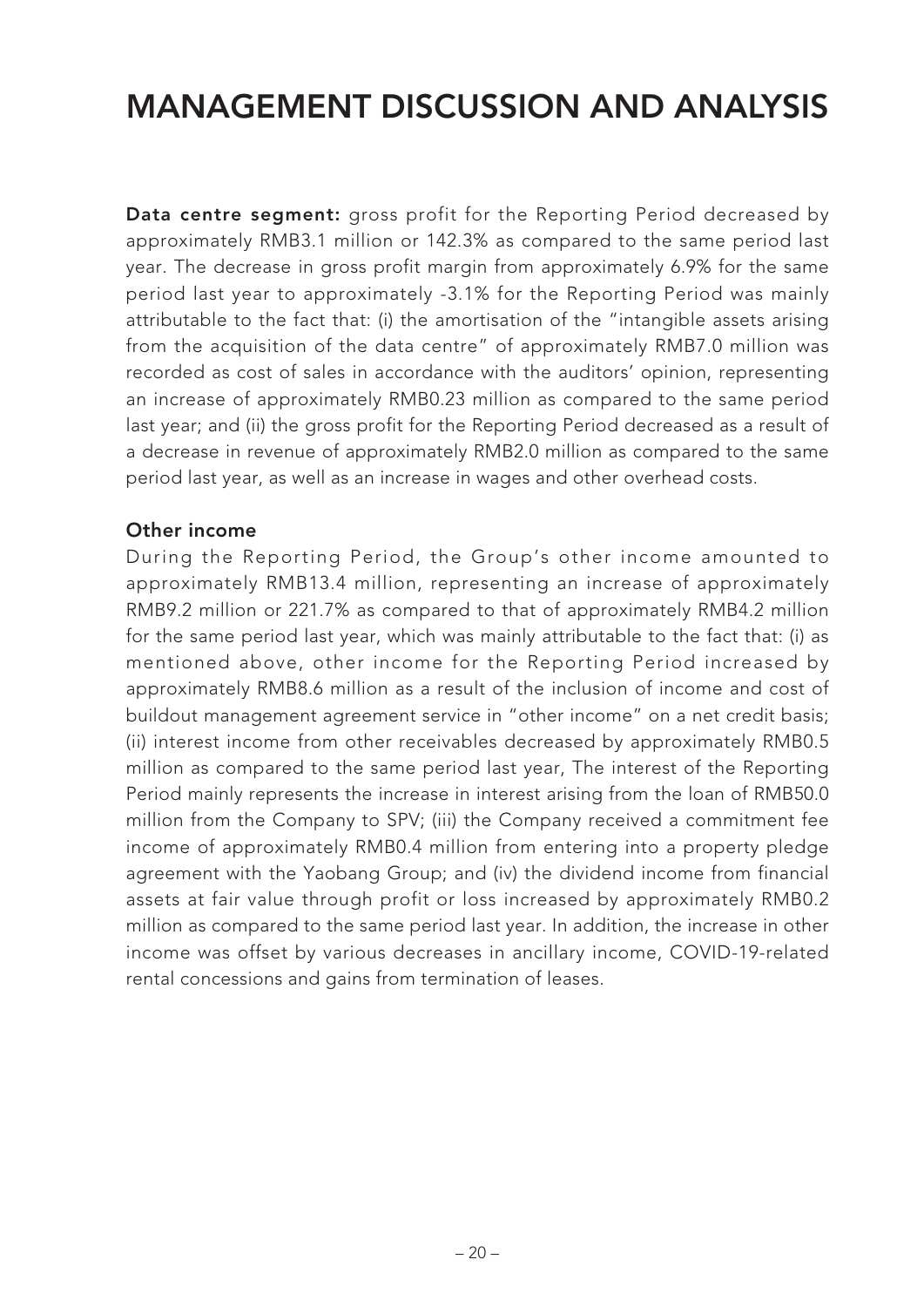**Data centre segment:** gross profit for the Reporting Period decreased by approximately RMB3.1 million or 142.3% as compared to the same period last year. The decrease in gross profit margin from approximately 6.9% for the same period last year to approximately -3.1% for the Reporting Period was mainly attributable to the fact that: (i) the amortisation of the "intangible assets arising from the acquisition of the data centre" of approximately RMB7.0 million was recorded as cost of sales in accordance with the auditors' opinion, representing an increase of approximately RMB0.23 million as compared to the same period last year; and (ii) the gross profit for the Reporting Period decreased as a result of a decrease in revenue of approximately RMB2.0 million as compared to the same period last year, as well as an increase in wages and other overhead costs.

#### **Other income**

During the Reporting Period, the Group's other income amounted to approximately RMB13.4 million, representing an increase of approximately RMB9.2 million or 221.7% as compared to that of approximately RMB4.2 million for the same period last year, which was mainly attributable to the fact that: (i) as mentioned above, other income for the Reporting Period increased by approximately RMB8.6 million as a result of the inclusion of income and cost of buildout management agreement service in "other income" on a net credit basis; (ii) interest income from other receivables decreased by approximately RMB0.5 million as compared to the same period last year, The interest of the Reporting Period mainly represents the increase in interest arising from the loan of RMB50.0 million from the Company to SPV; (iii) the Company received a commitment fee income of approximately RMB0.4 million from entering into a property pledge agreement with the Yaobang Group; and (iv) the dividend income from financial assets at fair value through profit or loss increased by approximately RMB0.2 million as compared to the same period last year. In addition, the increase in other income was offset by various decreases in ancillary income, COVID-19-related rental concessions and gains from termination of leases.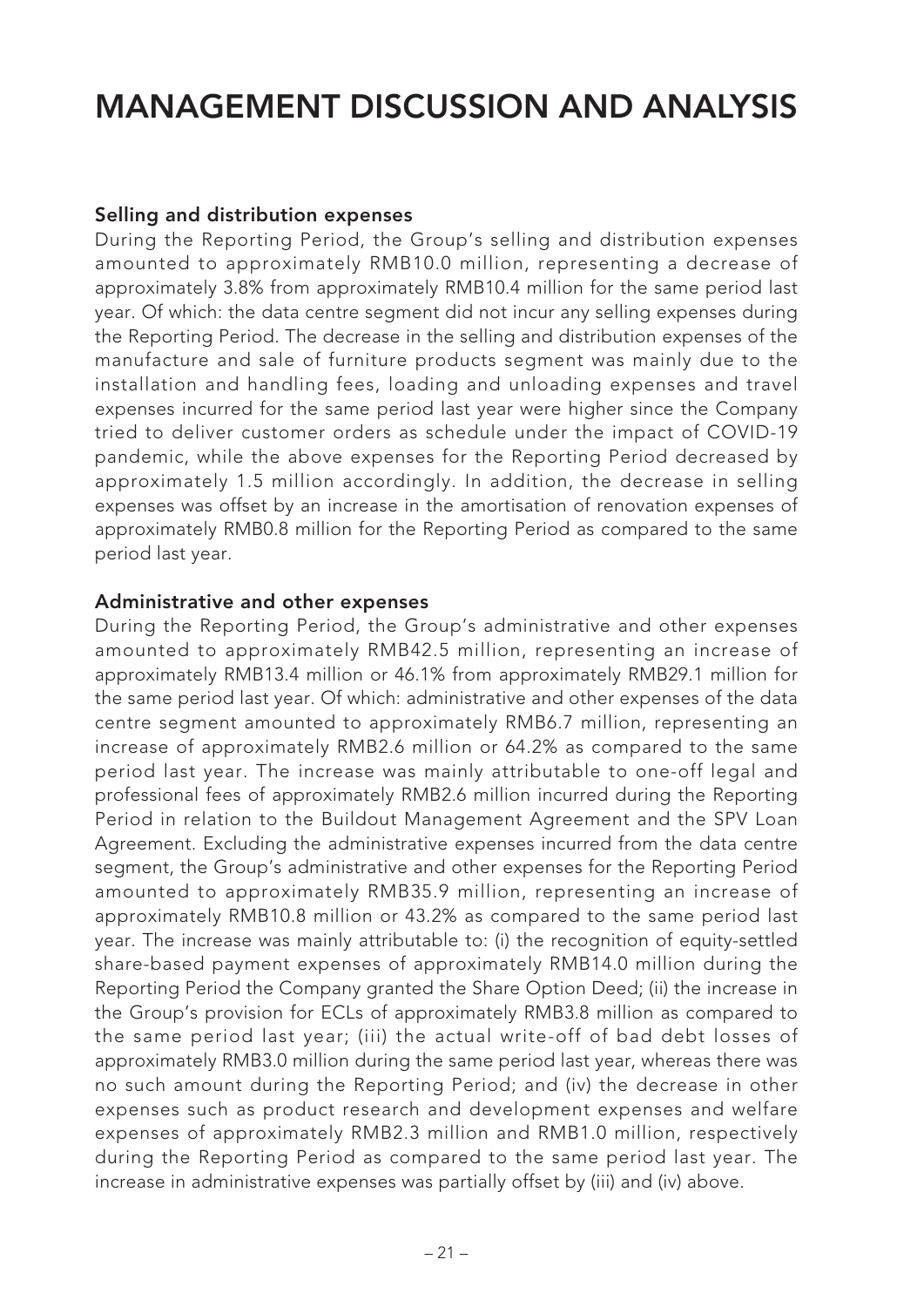#### **Selling and distribution expenses**

During the Reporting Period, the Group's selling and distribution expenses amounted to approximately RMB10.0 million, representing a decrease of approximately 3.8% from approximately RMB10.4 million for the same period last year. Of which: the data centre segment did not incur any selling expenses during the Reporting Period. The decrease in the selling and distribution expenses of the manufacture and sale of furniture products segment was mainly due to the installation and handling fees, loading and unloading expenses and travel expenses incurred for the same period last year were higher since the Company tried to deliver customer orders as schedule under the impact of COVID-19 pandemic, while the above expenses for the Reporting Period decreased by approximately 1.5 million accordingly. In addition, the decrease in selling expenses was offset by an increase in the amortisation of renovation expenses of approximately RMB0.8 million for the Reporting Period as compared to the same period last year.

#### **Administrative and other expenses**

During the Reporting Period, the Group's administrative and other expenses amounted to approximately RMB42.5 million, representing an increase of approximately RMB13.4 million or 46.1% from approximately RMB29.1 million for the same period last year. Of which: administrative and other expenses of the data centre segment amounted to approximately RMB6.7 million, representing an increase of approximately RMB2.6 million or 64.2% as compared to the same period last year. The increase was mainly attributable to one-off legal and professional fees of approximately RMB2.6 million incurred during the Reporting Period in relation to the Buildout Management Agreement and the SPV Loan Agreement. Excluding the administrative expenses incurred from the data centre segment, the Group's administrative and other expenses for the Reporting Period amounted to approximately RMB35.9 million, representing an increase of approximately RMB10.8 million or 43.2% as compared to the same period last year. The increase was mainly attributable to: (i) the recognition of equity-settled share-based payment expenses of approximately RMB14.0 million during the Reporting Period the Company granted the Share Option Deed; (ii) the increase in the Group's provision for ECLs of approximately RMB3.8 million as compared to the same period last year; (iii) the actual write-off of bad debt losses of approximately RMB3.0 million during the same period last year, whereas there was no such amount during the Reporting Period; and (iv) the decrease in other expenses such as product research and development expenses and welfare expenses of approximately RMB2.3 million and RMB1.0 million, respectively during the Reporting Period as compared to the same period last year. The increase in administrative expenses was partially offset by (iii) and (iv) above.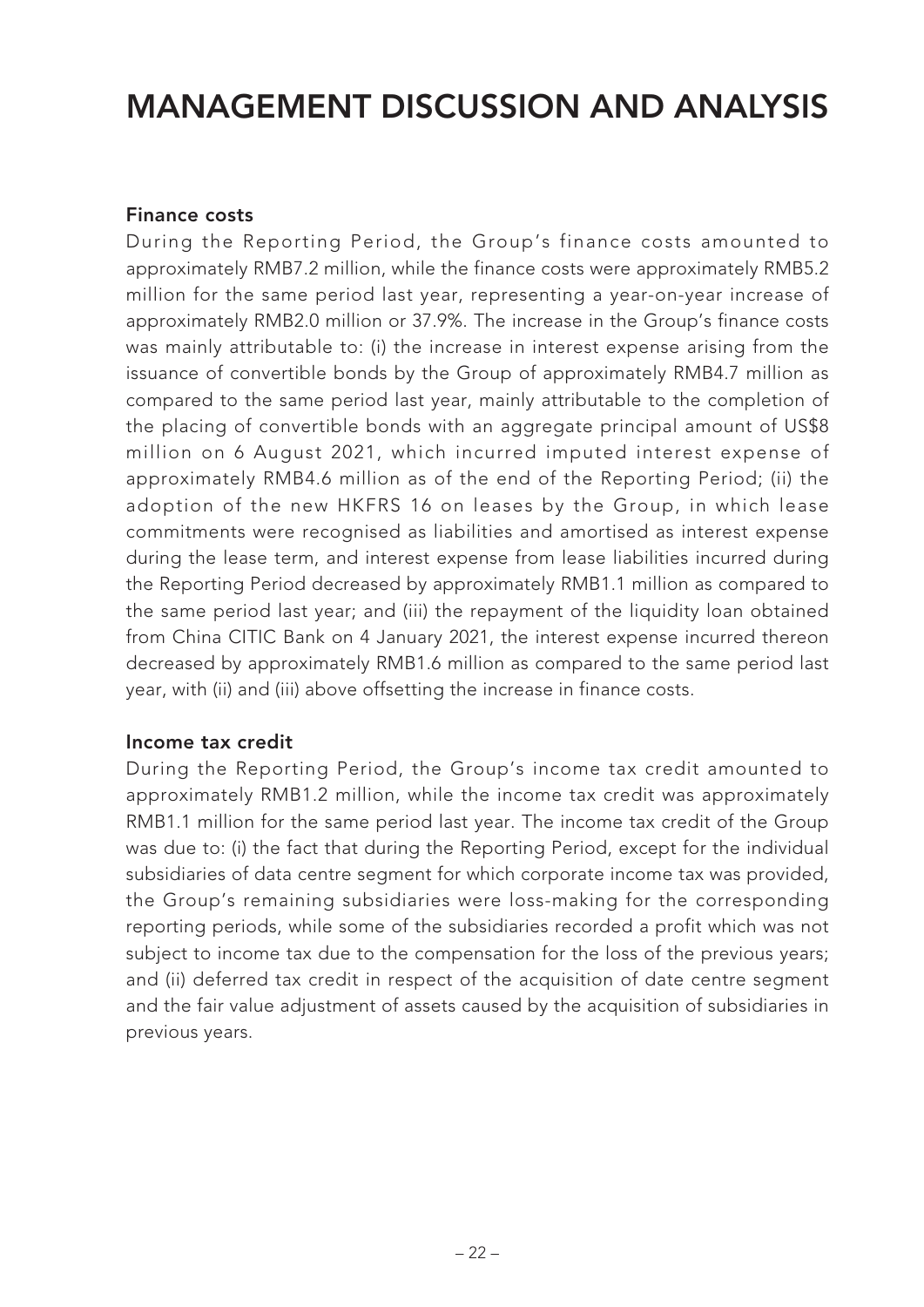### **Finance costs**

During the Reporting Period, the Group's finance costs amounted to approximately RMB7.2 million, while the finance costs were approximately RMB5.2 million for the same period last year, representing a year-on-year increase of approximately RMB2.0 million or 37.9%. The increase in the Group's finance costs was mainly attributable to: (i) the increase in interest expense arising from the issuance of convertible bonds by the Group of approximately RMB4.7 million as compared to the same period last year, mainly attributable to the completion of the placing of convertible bonds with an aggregate principal amount of US\$8 million on 6 August 2021, which incurred imputed interest expense of approximately RMB4.6 million as of the end of the Reporting Period; (ii) the adoption of the new HKFRS 16 on leases by the Group, in which lease commitments were recognised as liabilities and amortised as interest expense during the lease term, and interest expense from lease liabilities incurred during the Reporting Period decreased by approximately RMB1.1 million as compared to the same period last year; and (iii) the repayment of the liquidity loan obtained from China CITIC Bank on 4 January 2021, the interest expense incurred thereon decreased by approximately RMB1.6 million as compared to the same period last year, with (ii) and (iii) above offsetting the increase in finance costs.

#### **Income tax credit**

During the Reporting Period, the Group's income tax credit amounted to approximately RMB1.2 million, while the income tax credit was approximately RMB1.1 million for the same period last year. The income tax credit of the Group was due to: (i) the fact that during the Reporting Period, except for the individual subsidiaries of data centre segment for which corporate income tax was provided, the Group's remaining subsidiaries were loss-making for the corresponding reporting periods, while some of the subsidiaries recorded a profit which was not subject to income tax due to the compensation for the loss of the previous years; and (ii) deferred tax credit in respect of the acquisition of date centre segment and the fair value adjustment of assets caused by the acquisition of subsidiaries in previous years.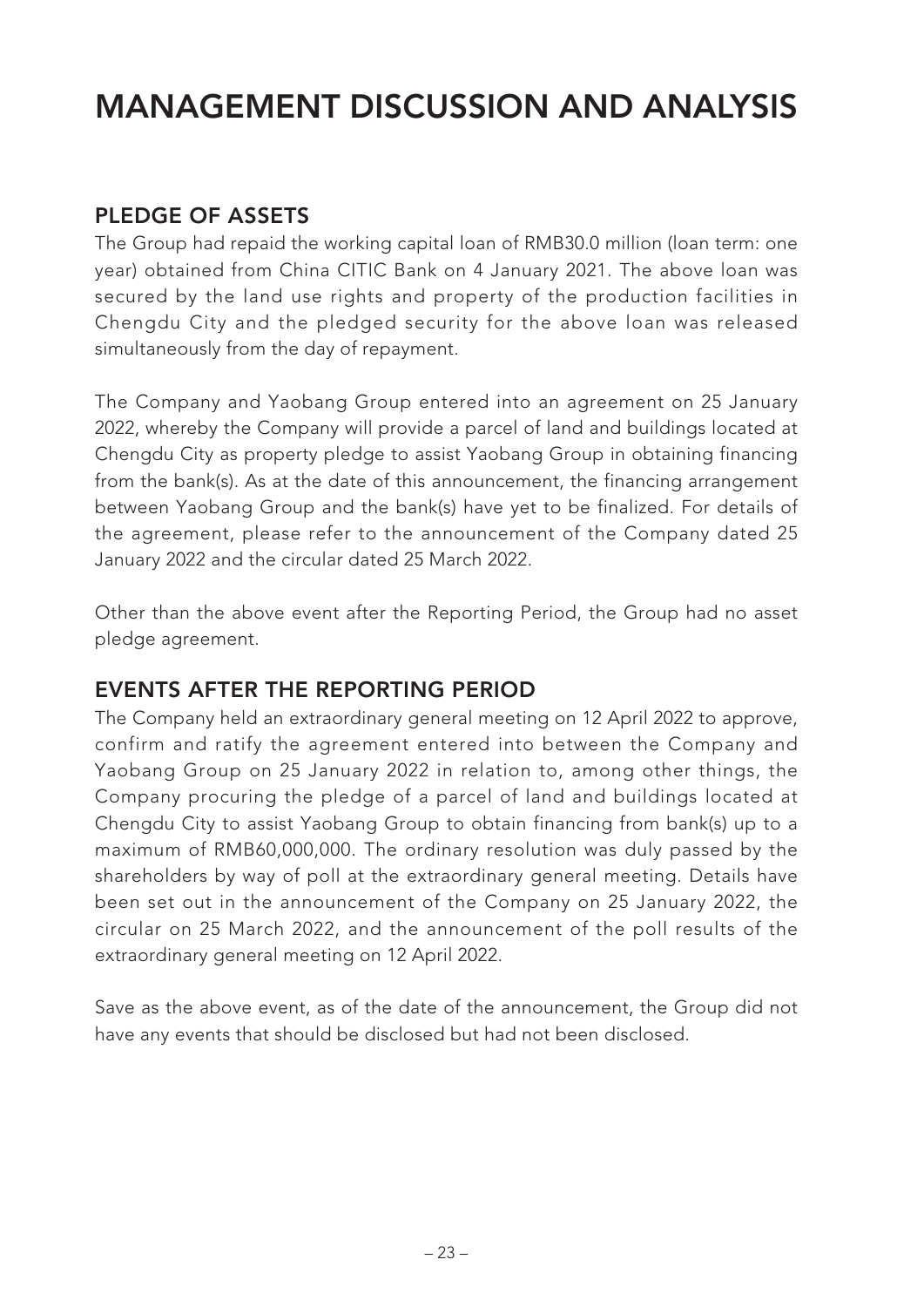### **PLEDGE OF ASSETS**

The Group had repaid the working capital loan of RMB30.0 million (loan term: one year) obtained from China CITIC Bank on 4 January 2021. The above loan was secured by the land use rights and property of the production facilities in Chengdu City and the pledged security for the above loan was released simultaneously from the day of repayment.

The Company and Yaobang Group entered into an agreement on 25 January 2022, whereby the Company will provide a parcel of land and buildings located at Chengdu City as property pledge to assist Yaobang Group in obtaining financing from the bank(s). As at the date of this announcement, the financing arrangement between Yaobang Group and the bank(s) have yet to be finalized. For details of the agreement, please refer to the announcement of the Company dated 25 January 2022 and the circular dated 25 March 2022.

Other than the above event after the Reporting Period, the Group had no asset pledge agreement.

### **EVENTS AFTER THE REPORTING PERIOD**

The Company held an extraordinary general meeting on 12 April 2022 to approve, confirm and ratify the agreement entered into between the Company and Yaobang Group on 25 January 2022 in relation to, among other things, the Company procuring the pledge of a parcel of land and buildings located at Chengdu City to assist Yaobang Group to obtain financing from bank(s) up to a maximum of RMB60,000,000. The ordinary resolution was duly passed by the shareholders by way of poll at the extraordinary general meeting. Details have been set out in the announcement of the Company on 25 January 2022, the circular on 25 March 2022, and the announcement of the poll results of the extraordinary general meeting on 12 April 2022.

Save as the above event, as of the date of the announcement, the Group did not have any events that should be disclosed but had not been disclosed.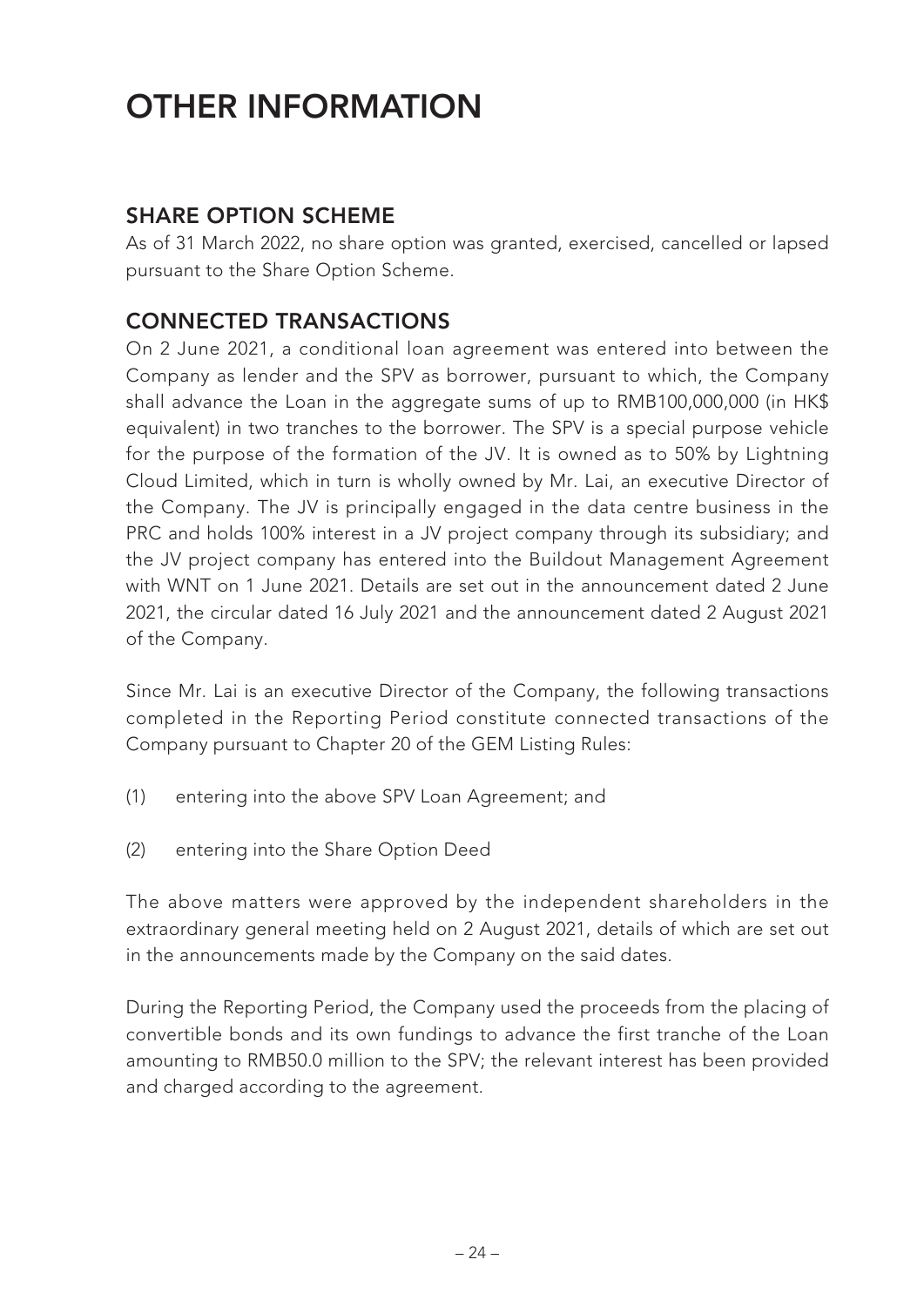# **OTHER INFORMATION**

### **SHARE OPTION SCHEME**

As of 31 March 2022, no share option was granted, exercised, cancelled or lapsed pursuant to the Share Option Scheme.

### **CONNECTED TRANSACTIONS**

On 2 June 2021, a conditional loan agreement was entered into between the Company as lender and the SPV as borrower, pursuant to which, the Company shall advance the Loan in the aggregate sums of up to RMB100,000,000 (in HK\$ equivalent) in two tranches to the borrower. The SPV is a special purpose vehicle for the purpose of the formation of the JV. It is owned as to 50% by Lightning Cloud Limited, which in turn is wholly owned by Mr. Lai, an executive Director of the Company. The JV is principally engaged in the data centre business in the PRC and holds 100% interest in a JV project company through its subsidiary; and the JV project company has entered into the Buildout Management Agreement with WNT on 1 June 2021. Details are set out in the announcement dated 2 June 2021, the circular dated 16 July 2021 and the announcement dated 2 August 2021 of the Company.

Since Mr. Lai is an executive Director of the Company, the following transactions completed in the Reporting Period constitute connected transactions of the Company pursuant to Chapter 20 of the GEM Listing Rules:

- (1) entering into the above SPV Loan Agreement; and
- (2) entering into the Share Option Deed

The above matters were approved by the independent shareholders in the extraordinary general meeting held on 2 August 2021, details of which are set out in the announcements made by the Company on the said dates.

During the Reporting Period, the Company used the proceeds from the placing of convertible bonds and its own fundings to advance the first tranche of the Loan amounting to RMB50.0 million to the SPV; the relevant interest has been provided and charged according to the agreement.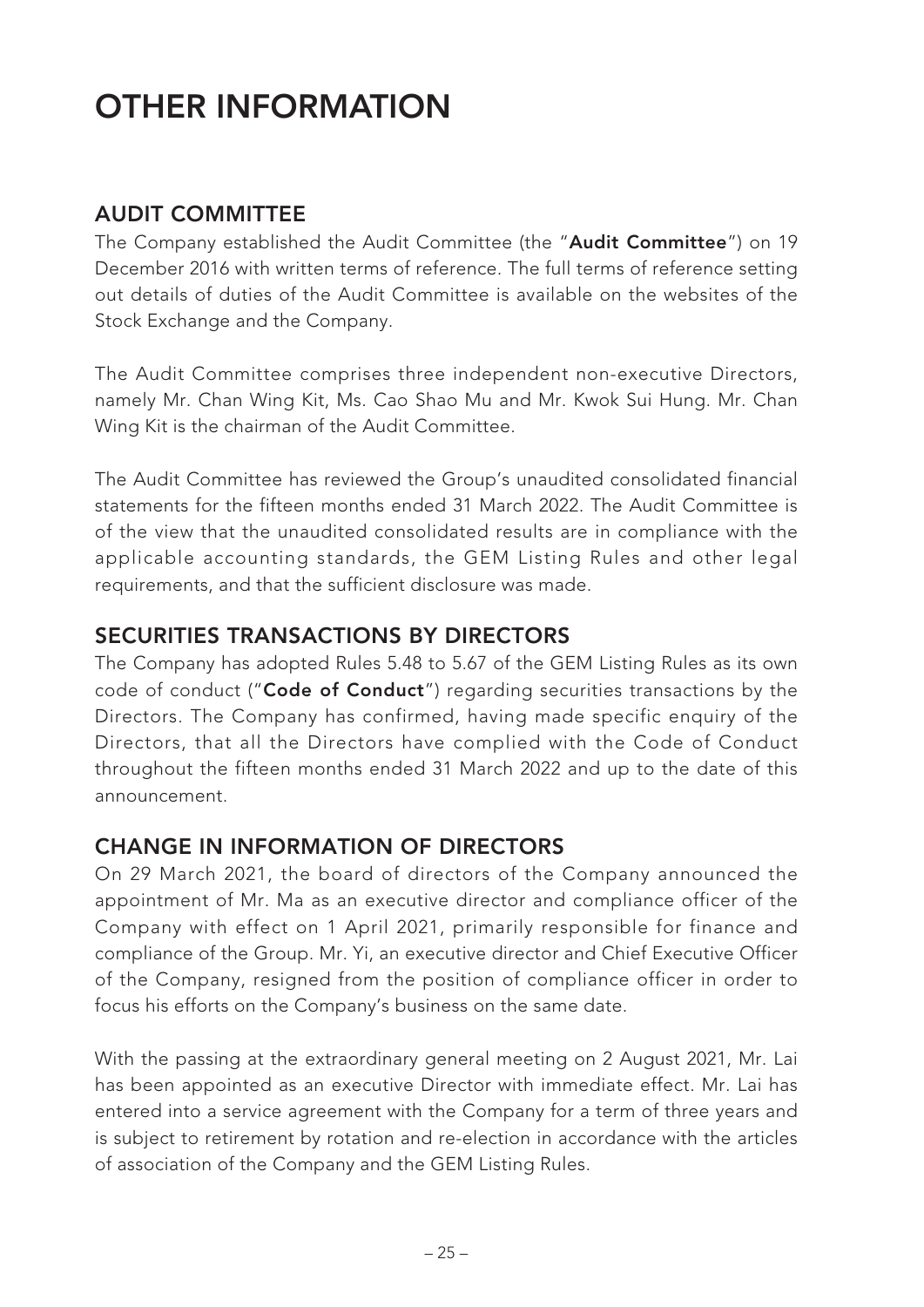# **OTHER INFORMATION**

### **AUDIT COMMITTEE**

The Company established the Audit Committee (the "**Audit Committee**") on 19 December 2016 with written terms of reference. The full terms of reference setting out details of duties of the Audit Committee is available on the websites of the Stock Exchange and the Company.

The Audit Committee comprises three independent non-executive Directors, namely Mr. Chan Wing Kit, Ms. Cao Shao Mu and Mr. Kwok Sui Hung. Mr. Chan Wing Kit is the chairman of the Audit Committee.

The Audit Committee has reviewed the Group's unaudited consolidated financial statements for the fifteen months ended 31 March 2022. The Audit Committee is of the view that the unaudited consolidated results are in compliance with the applicable accounting standards, the GEM Listing Rules and other legal requirements, and that the sufficient disclosure was made.

### **SECURITIES TRANSACTIONS BY DIRECTORS**

The Company has adopted Rules 5.48 to 5.67 of the GEM Listing Rules as its own code of conduct ("**Code of Conduct**") regarding securities transactions by the Directors. The Company has confirmed, having made specific enquiry of the Directors, that all the Directors have complied with the Code of Conduct throughout the fifteen months ended 31 March 2022 and up to the date of this announcement.

### **CHANGE IN INFORMATION OF DIRECTORS**

On 29 March 2021, the board of directors of the Company announced the appointment of Mr. Ma as an executive director and compliance officer of the Company with effect on 1 April 2021, primarily responsible for finance and compliance of the Group. Mr. Yi, an executive director and Chief Executive Officer of the Company, resigned from the position of compliance officer in order to focus his efforts on the Company's business on the same date.

With the passing at the extraordinary general meeting on 2 August 2021, Mr. Lai has been appointed as an executive Director with immediate effect. Mr. Lai has entered into a service agreement with the Company for a term of three years and is subject to retirement by rotation and re-election in accordance with the articles of association of the Company and the GEM Listing Rules.